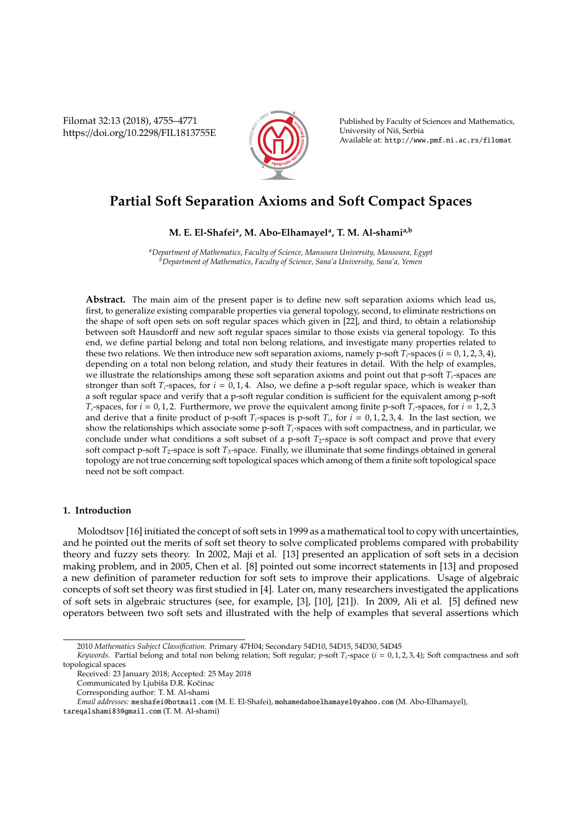Filomat 32:13 (2018), 4755–4771 https://doi.org/10.2298/FIL1813755E



Published by Faculty of Sciences and Mathematics, University of Niš, Serbia Available at: http://www.pmf.ni.ac.rs/filomat

# **Partial Soft Separation Axioms and Soft Compact Spaces**

**M. E. El-Shafei<sup>a</sup> , M. Abo-Elhamayel<sup>a</sup> , T. M. Al-shamia,b**

*<sup>a</sup>Department of Mathematics, Faculty of Science, Mansoura University, Mansoura, Egypt <sup>b</sup>Department of Mathematics, Faculty of Science, Sana'a University, Sana'a, Yemen*

**Abstract.** The main aim of the present paper is to define new soft separation axioms which lead us, first, to generalize existing comparable properties via general topology, second, to eliminate restrictions on the shape of soft open sets on soft regular spaces which given in [22], and third, to obtain a relationship between soft Hausdorff and new soft regular spaces similar to those exists via general topology. To this end, we define partial belong and total non belong relations, and investigate many properties related to these two relations. We then introduce new soft separation axioms, namely p-soft  $T_i$ -spaces ( $i = 0, 1, 2, 3, 4$ ), depending on a total non belong relation, and study their features in detail. With the help of examples, we illustrate the relationships among these soft separation axioms and point out that p-soft *Ti*-spaces are stronger than soft  $T_i$ -spaces, for  $i = 0, 1, 4$ . Also, we define a p-soft regular space, which is weaker than a soft regular space and verify that a p-soft regular condition is sufficient for the equivalent among p-soft *T*<sub>*i*</sub>-spaces, for *i* = 0, 1, 2. Furthermore, we prove the equivalent among finite p-soft *T*<sub>*i*</sub>-spaces, for *i* = 1, 2, 3 and derive that a finite product of p-soft  $T_i$ -spaces is p-soft  $T_i$ , for  $i = 0, 1, 2, 3, 4$ . In the last section, we show the relationships which associate some p-soft *Ti*-spaces with soft compactness, and in particular, we conclude under what conditions a soft subset of a p-soft  $T_2$ -space is soft compact and prove that every soft compact p-soft *T*2-space is soft *T*3-space. Finally, we illuminate that some findings obtained in general topology are not true concerning soft topological spaces which among of them a finite soft topological space need not be soft compact.

# **1. Introduction**

Molodtsov [16] initiated the concept of soft sets in 1999 as a mathematical tool to copy with uncertainties, and he pointed out the merits of soft set theory to solve complicated problems compared with probability theory and fuzzy sets theory. In 2002, Maji et al. [13] presented an application of soft sets in a decision making problem, and in 2005, Chen et al. [8] pointed out some incorrect statements in [13] and proposed a new definition of parameter reduction for soft sets to improve their applications. Usage of algebraic concepts of soft set theory was first studied in [4]. Later on, many researchers investigated the applications of soft sets in algebraic structures (see, for example, [3], [10], [21]). In 2009, Ali et al. [5] defined new operators between two soft sets and illustrated with the help of examples that several assertions which

<sup>2010</sup> *Mathematics Subject Classification*. Primary 47H04; Secondary 54D10, 54D15, 54D30, 54D45

*Keywords*. Partial belong and total non belong relation; Soft regular; *p*-soft *T<sup>i</sup>* -space (*i* = 0, 1, 2, 3, 4); Soft compactness and soft topological spaces

Received: 23 January 2018; Accepted: 25 May 2018

Communicated by Ljubiša D.R. Kočinac

Corresponding author: T. M. Al-shami

*Email addresses:* meshafei@hotmail.com (M. E. El-Shafei), mohamedaboelhamayel@yahoo.com (M. Abo-Elhamayel),

tareqalshami83@gmail.com (T. M. Al-shami)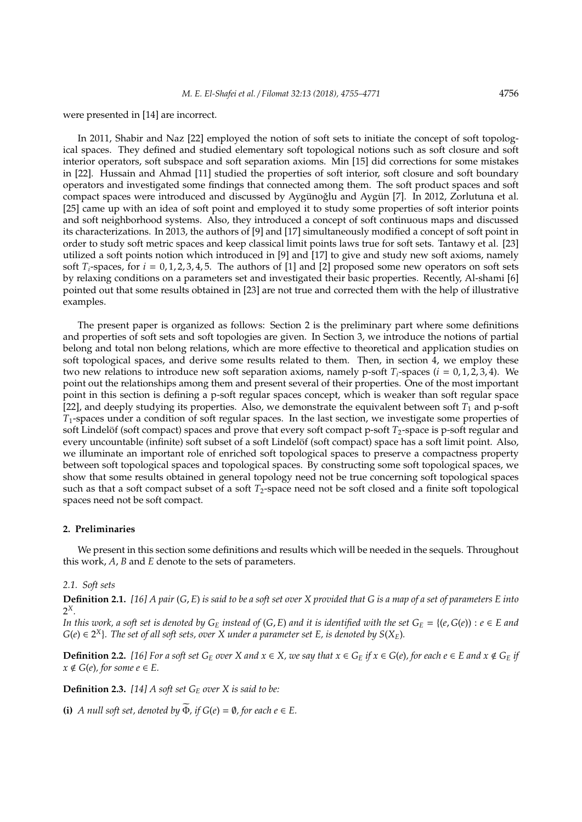were presented in [14] are incorrect.

In 2011, Shabir and Naz [22] employed the notion of soft sets to initiate the concept of soft topological spaces. They defined and studied elementary soft topological notions such as soft closure and soft interior operators, soft subspace and soft separation axioms. Min [15] did corrections for some mistakes in [22]. Hussain and Ahmad [11] studied the properties of soft interior, soft closure and soft boundary operators and investigated some findings that connected among them. The soft product spaces and soft compact spaces were introduced and discussed by Aygünoğlu and Aygün [7]. In 2012, Zorlutuna et al. [25] came up with an idea of soft point and employed it to study some properties of soft interior points and soft neighborhood systems. Also, they introduced a concept of soft continuous maps and discussed its characterizations. In 2013, the authors of [9] and [17] simultaneously modified a concept of soft point in order to study soft metric spaces and keep classical limit points laws true for soft sets. Tantawy et al. [23] utilized a soft points notion which introduced in [9] and [17] to give and study new soft axioms, namely soft  $T_i$ -spaces, for  $i = 0, 1, 2, 3, 4, 5$ . The authors of [1] and [2] proposed some new operators on soft sets by relaxing conditions on a parameters set and investigated their basic properties. Recently, Al-shami [6] pointed out that some results obtained in [23] are not true and corrected them with the help of illustrative examples.

The present paper is organized as follows: Section 2 is the preliminary part where some definitions and properties of soft sets and soft topologies are given. In Section 3, we introduce the notions of partial belong and total non belong relations, which are more effective to theoretical and application studies on soft topological spaces, and derive some results related to them. Then, in section  $\overline{4}$ , we employ these two new relations to introduce new soft separation axioms, namely p-soft *Ti*-spaces (*i* = 0, 1, 2, 3, 4). We point out the relationships among them and present several of their properties. One of the most important point in this section is defining a p-soft regular spaces concept, which is weaker than soft regular space [22], and deeply studying its properties. Also, we demonstrate the equivalent between soft  $T_1$  and p-soft *T*1-spaces under a condition of soft regular spaces. In the last section, we investigate some properties of soft Lindelöf (soft compact) spaces and prove that every soft compact p-soft  $T_2$ -space is p-soft regular and every uncountable (infinite) soft subset of a soft Lindelöf (soft compact) space has a soft limit point. Also, we illuminate an important role of enriched soft topological spaces to preserve a compactness property between soft topological spaces and topological spaces. By constructing some soft topological spaces, we show that some results obtained in general topology need not be true concerning soft topological spaces such as that a soft compact subset of a soft *T*<sub>2</sub>-space need not be soft closed and a finite soft topological spaces need not be soft compact.

# **2. Preliminaries**

We present in this section some definitions and results which will be needed in the sequels. Throughout this work, *A*, *B* and *E* denote to the sets of parameters.

## *2.1. Soft sets*

**Definition 2.1.** *[16] A pair* (*G*, *E*) *is said to be a soft set over X provided that G is a map of a set of parameters E into* 2 *X.*

*In this work, a soft set is denoted by*  $G_E$  *<i>instead of*  $(G, E)$  *and it is identified with the set*  $G_E = \{(e, G(e)) : e \in E \text{ and } E\}$  $G(e) \in 2^X$ . The set of all soft sets, over X under a parameter set E, is denoted by  $S(X_E)$ .

**Definition 2.2.** [16] For a soft set  $G_E$  over X and  $x \in X$ , we say that  $x \in G_E$  if  $x \in G(e)$ , for each  $e \in E$  and  $x \notin G_E$  if  $x \notin G(e)$ , for some  $e \in E$ .

**Definition 2.3.** *[14] A soft set G<sup>E</sup> over X is said to be:*

**(i)** *A null soft set, denoted by*  $\widetilde{\Phi}$ *, if*  $G(e) = \emptyset$ *, for each e*  $\in$  *E.*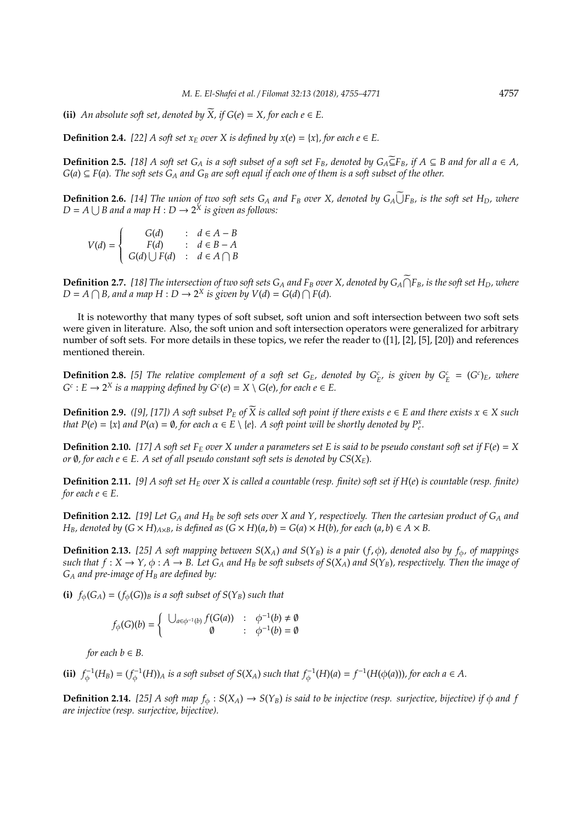**(ii)** *An absolute soft set, denoted by*  $\widetilde{X}$ *, if*  $G(e) = X$ *, for each e*  $\in E$ *.* 

**Definition 2.4.** [22] A soft set  $x_E$  *over* X *is defined by*  $x(e) = \{x\}$ *, for each e*  $\in$  *E*.

**Definition 2.5.** [18] A soft set  $G_A$  is a soft subset of a soft set  $F_B$ , denoted by  $G_A \subseteq F_B$ , if  $A \subseteq B$  and for all a ∈ *A*,  $G(a) \subseteq F(a)$ . The soft sets  $G_A$  and  $G_B$  are soft equal if each one of them is a soft subset of the other.

**Definition 2.6.** [14] The union of two soft sets  $G_A$  and  $F_B$  over X, denoted by  $G_A \cup F_B$ , is the soft set  $H_D$ , where  $D = A \bigcup B$  and a map  $H : D \to 2^{\tilde{X}}$  is given as follows:

$$
V(d) = \begin{cases} G(d) & : d \in A - B \\ F(d) & : d \in B - A \\ G(d) \cup F(d) & : d \in A \cap B \end{cases}
$$

**Definition 2.7.** [18] The intersection of two soft sets  $G_A$  and  $F_B$  over X, denoted by  $G_A \cap F_B$ , is the soft set  $H_D$ , where  $D = A \cap B$ , and a map  $H : D \to 2^X$  is given by  $V(d) = G(d) \cap F(d)$ .

It is noteworthy that many types of soft subset, soft union and soft intersection between two soft sets were given in literature. Also, the soft union and soft intersection operators were generalized for arbitrary number of soft sets. For more details in these topics, we refer the reader to ([1], [2], [5], [20]) and references mentioned therein.

**Definition 2.8.** [5] The relative complement of a soft set  $G_E$ , denoted by  $G_E^c$  is given by  $G_E^c = (G^c)_E$ , where  $G^c$ :  $E \rightarrow 2^X$  *is a mapping defined by*  $G^c(e) = X \setminus G(e)$ *, for each e*  $\in E$ *.* 

**Definition 2.9.** *([9], [17])* A soft subset  $P<sub>E</sub>$  of  $\widetilde{X}$  is called soft point if there exists e ∈ *E* and there exists  $x ∈ X$  such *that*  $P(e) = \{x\}$  *and*  $P(\alpha) = \emptyset$ , for each  $\alpha \in E \setminus \{e\}$ . A soft point will be shortly denoted by  $P_e^x$ .

**Definition 2.10.** [17] A soft set  $F_E$  over X under a parameters set E is said to be pseudo constant soft set if  $F(e) = X$ *or*  $\emptyset$ *, for each*  $e \in E$ *. A set of all pseudo constant soft sets is denoted by*  $CS(X_E)$ *.* 

**Definition 2.11.** *[9] A soft set H<sup>E</sup> over X is called a countable (resp. finite) soft set if H*(*e*) *is countable (resp. finite) for each*  $e \in E$ *.* 

**Definition 2.12.** *[19] Let G<sup>A</sup> and H<sup>B</sup> be soft sets over X and Y, respectively. Then the cartesian product of G<sup>A</sup> and*  $H_B$ , denoted by  $(G \times H)_{A \times B}$ , is defined as  $(G \times H)(a, b) = G(a) \times H(b)$ , for each  $(a, b) \in A \times B$ .

**Definition 2.13.** [25] A soft mapping between  $S(X_A)$  and  $S(Y_B)$  is a pair  $(f, \phi)$ , denoted also by  $f_{\phi}$ , of mappings *such that*  $f: X \to Y$ ,  $\phi: A \to B$ . Let  $G_A$  *and*  $H_B$  *be soft subsets of*  $S(X_A)$  *and*  $S(Y_B)$ *, respectively. Then the image of G<sup>A</sup> and pre-image of H<sup>B</sup> are defined by:*

**(i)**  $f_{\phi}(G_A) = (f_{\phi}(G))_B$  *is a soft subset of*  $S(Y_B)$  *such that* 

$$
f_{\phi}(G)(b) = \begin{cases} \bigcup_{a \in \phi^{-1}(b)} f(G(a)) & : & \phi^{-1}(b) \neq \emptyset \\ \emptyset & : & \phi^{-1}(b) = \emptyset \end{cases}
$$

*for each*  $b \in B$ *.* 

(ii)  $f_{\phi}^{-1}(H_B) = (f_{\phi}^{-1}(H))_A$  is a soft subset of  $S(X_A)$  such that  $f_{\phi}^{-1}(H)(a) = f^{-1}(H(\phi(a)))$ , for each  $a \in A$ .

**Definition 2.14.** [25] A soft map  $f_{\phi}: S(X_A) \to S(Y_B)$  is said to be injective (resp. surjective, bijective) if  $\phi$  and f *are injective (resp. surjective, bijective).*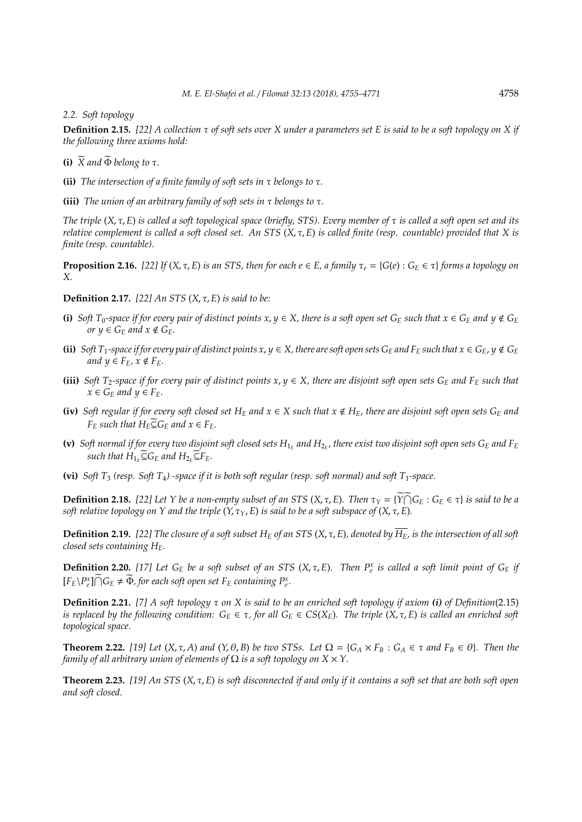#### *2.2. Soft topology*

**Definition 2.15.** *[22] A collection* τ *of soft sets over X under a parameters set E is said to be a soft topology on X if the following three axioms hold:*

- **(i)**  $\widetilde{X}$  and  $\widetilde{\Phi}$  belong to  $\tau$ .
- **(ii)** *The intersection of a finite family of soft sets in* τ *belongs to* τ*.*

**(iii)** *The union of an arbitrary family of soft sets in* τ *belongs to* τ*.*

*The triple* (*X*, τ, *E*) *is called a soft topological space (briefly, STS). Every member of* τ *is called a soft open set and its relative complement is called a soft closed set. An STS* (*X*, τ, *E*) *is called finite (resp. countable) provided that X is finite (resp. countable).*

**Proposition 2.16.** [22] If  $(X, \tau, E)$  is an STS, then for each  $e \in E$ , a family  $\tau_e = \{G(e) : G_E \in \tau\}$  forms a topology on *X.*

**Definition 2.17.** *[22] An STS* (*X*, τ, *E*) *is said to be:*

- **(i)** *Soft*  $T_0$ -space if for every pair of distinct points  $x, y \in X$ , there is a soft open set  $G_E$  such that  $x \in G_E$  and  $y \notin G_E$ *or*  $y \in G_F$  *and*  $x \notin G_F$ *.*
- **(ii)** Soft  $T_1$ -space if for every pair of distinct points  $x, y \in X$ , there are soft open sets  $G_E$  and  $F_E$  such that  $x \in G_E$ ,  $y \notin G_E$ *and*  $y \in F_E$ ,  $x \notin F_E$ .
- **(iii)** *Soft*  $T_2$ -space if for every pair of distinct points  $x, y \in X$ , there are disjoint soft open sets  $G_E$  and  $F_E$  such that  $x \in G_F$  *and*  $y \in F_F$ *.*
- **(iv)** Soft regular if for every soft closed set  $H_E$  and  $x \in X$  such that  $x \notin H_E$ , there are disjoint soft open sets  $G_E$  and *F*<sup>*E*</sup> *EESuch that*  $H_F \widetilde{\subseteq} G_F$  *and*  $x \in F_F$ *.*
- (**v**) Soft normal if for every two disjoint soft closed sets  $H_{1_E}$  and  $H_{2_E}$ , there exist two disjoint soft open sets  $G_E$  and  $F_E$  $\sup_{E} E_{E}$  *such that*  $H_{1_E} \widetilde{\subseteq} G_E$  *and*  $H_{2_E} \widetilde{\subseteq} F_E$ *.*

(vi) *Soft*  $T_3$  *(resp. Soft*  $T_4$ *) -space if it is both soft regular (resp. soft normal) and soft*  $T_1$ *-space.* 

**Definition 2.18.** [22] Let Y be a non-empty subset of an STS  $(X, \tau, E)$ . Then  $\tau_Y = {\widetilde{Y \cap G_E}} : G_E \in \tau$  is said to be a *soft relative topology on Y and the triple*  $(Y, \tau_Y, E)$  *is said to be a soft subspace of*  $(X, \tau, E)$ *.* 

**Definition 2.19.** [22] The closure of a soft subset  $H_E$  of an STS ( $X, \tau, E$ ), denoted by  $\overline{H_E}$ , is the intersection of all soft *closed sets containing HE.*

**Definition 2.20.** [17] Let  $G_E$  be a soft subset of an STS  $(X, \tau, E)$ . Then  $P_e^x$  is called a soft limit point of  $G_E$  if  $[F_E \setminus P_e^x] \cap G_E \neq \widetilde{\Phi}$ , for each soft open set  $F_E$  containing  $P_e^x$ .

**Definition 2.21.** *[7] A soft topology* τ *on X is said to be an enriched soft topology if axiom (i) of Definition*(2.15) *is replaced by the following condition:*  $G_E \in \tau$ , *for all*  $G_E \in CS(X_E)$ . The triple  $(X, \tau, E)$  *is called an enriched soft topological space.*

**Theorem 2.22.** [19] Let  $(X, \tau, A)$  and  $(Y, \theta, B)$  be two STSs. Let  $\Omega = \{G_A \times F_B : G_A \in \tau \text{ and } F_B \in \theta\}$ . Then the *family of all arbitrary union of elements of*  $\Omega$  *is a soft topology on*  $X \times Y$ .

**Theorem 2.23.** *[19] An STS* (*X*, τ, *E*) *is soft disconnected if and only if it contains a soft set that are both soft open and soft closed.*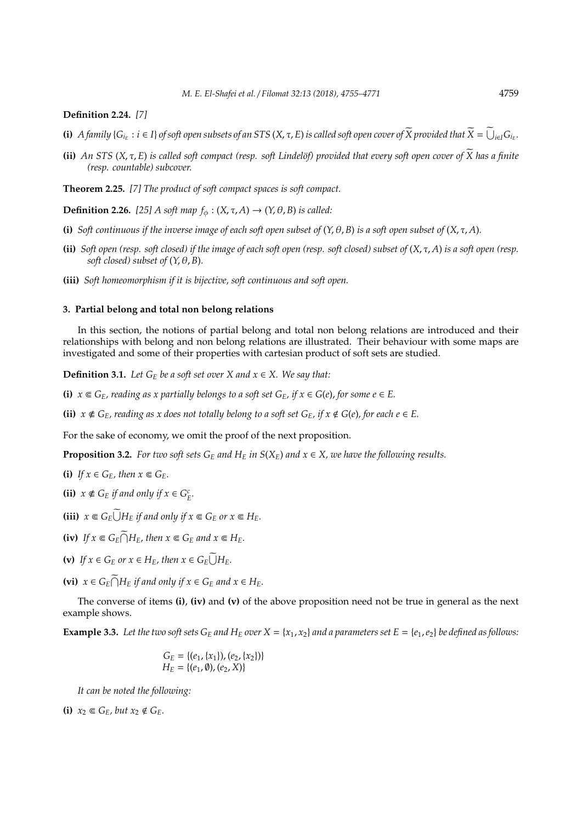## **Definition 2.24.** *[7]*

- (i) A family { $G_{i_E}: i \in I$ } of soft open subsets of an STS (X,  $\tau$ , E) is called soft open cover of  $\widetilde{X}$  provided that  $\widetilde{X} = \widetilde{\bigcup}_{i \in I} G_{i_E}$ .
- (ii) *An STS* ( $X, \tau, E$ ) is called soft compact (resp. soft Lindelöf) provided that every soft open cover of  $\widetilde{X}$  has a finite *(resp. countable) subcover.*

**Theorem 2.25.** *[7] The product of soft compact spaces is soft compact.*

**Definition 2.26.** [25] A soft map  $f_{\phi}$  :  $(X, \tau, A) \rightarrow (Y, \theta, B)$  is called:

- **(i)** *Soft continuous if the inverse image of each soft open subset of*  $(Y, \theta, B)$  *is a soft open subset of*  $(X, \tau, A)$ *.*
- **(ii)** *Soft open (resp. soft closed) if the image of each soft open (resp. soft closed) subset of* (*X*, τ, *A*) *is a soft open (resp. soft closed) subset of*  $(Y, \theta, B)$ *.*
- **(iii)** *Soft homeomorphism if it is bijective, soft continuous and soft open.*

## **3. Partial belong and total non belong relations**

In this section, the notions of partial belong and total non belong relations are introduced and their relationships with belong and non belong relations are illustrated. Their behaviour with some maps are investigated and some of their properties with cartesian product of soft sets are studied.

**Definition 3.1.** *Let*  $G_E$  *be a soft set over*  $X$  *and*  $x \in X$ *. We say that:* 

**(i)**  $x \in G_E$ , reading as x partially belongs to a soft set  $G_E$ , if  $x \in G(e)$ , for some  $e \in E$ .

**(ii)**  $x \notin G_E$ , reading as x does not totally belong to a soft set  $G_E$ , if  $x \notin G(e)$ , for each  $e \in E$ .

For the sake of economy, we omit the proof of the next proposition.

**Proposition 3.2.** *For two soft sets*  $G_E$  *and*  $H_E$  *in*  $S(X_E)$  *and*  $x \in X$ *, we have the following results.* 

- **(i)** *If*  $x \in G_F$ *, then*  $x \in G_F$ *.*
- **(ii)**  $x \notin G_E$  *if and only if*  $x \in G_E^c$ *.*
- **(iii)**  $x \in G_E \overline{\bigcup} H_E$  *if and only if*  $x \in G_E$  *or*  $x \in H_E$ *.*
- $f(x)$  *If*  $x \in G_E \cap H_E$ *, then*  $x \in G_E$  *and*  $x \in H_E$ *.*
- (v) If  $x \in G_E$  or  $x \in H_E$ , then  $x \in G_E \overline{\bigcup} H_E$ .
- **(vi)**  $x \in G_E \cap H_E$  if and only if  $x \in G_E$  and  $x \in H_E$ .

The converse of items **(i)**, **(iv)** and **(v)** of the above proposition need not be true in general as the next example shows.

**Example 3.3.** Let the two soft sets  $G_E$  and  $H_E$  over  $X = \{x_1, x_2\}$  and a parameters set  $E = \{e_1, e_2\}$  be defined as follows:

$$
G_E = \{(e_1, \{x_1\}), (e_2, \{x_2\})\}
$$
  

$$
H_E = \{(e_1, \emptyset), (e_2, X)\}
$$

*It can be noted the following:*

(i)  $x_2 \in G_F$ , but  $x_2 \notin G_F$ .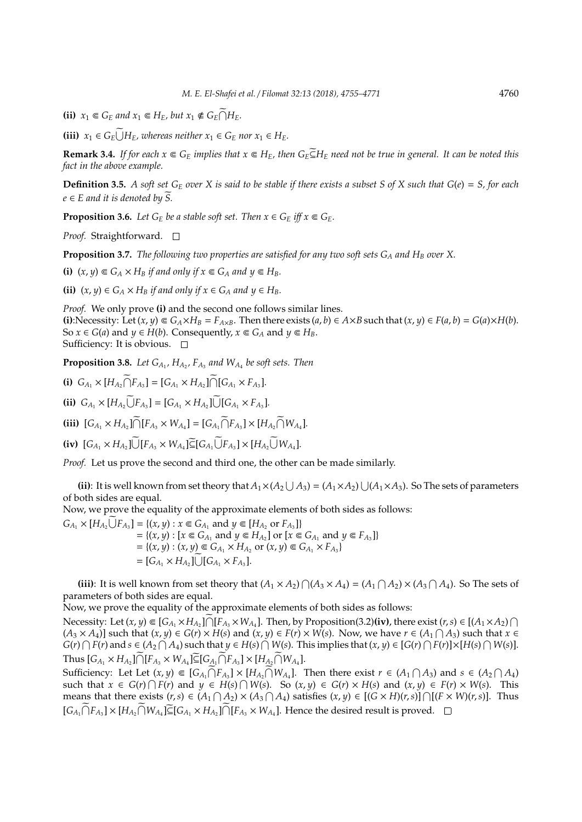**(ii)**  $x_1 \in G_E$  and  $x_1 \in H_E$ , but  $x_1 \notin G_E \cap H_E$ .

**(iii)**  $x_1 \in G_E \cup H_E$ , whereas neither  $x_1 \in G_E$  nor  $x_1 \in H_E$ .

**Remark 3.4.** *If for each*  $x \n∈ G_E$  *implies that*  $x \n∈ H_E$ *, then*  $G_E \nsubseteq H_E$  *need not be true in general. It can be noted this fact in the above example.*

**Definition 3.5.** A soft set  $G_E$  over X is said to be stable if there exists a subset S of X such that  $G(e) = S$ , for each  $e \in E$  and it is denoted by S.

**Proposition 3.6.** *Let*  $G_E$  *be a stable soft set. Then*  $x \in G_E$  *iff*  $x \in G_E$ *.* 

*Proof.* Straightforward. □

**Proposition 3.7.** *The following two properties are satisfied for any two soft sets G<sup>A</sup> and H<sup>B</sup> over X.*

**(i)**  $(x, y) \in G_A \times H_B$  *if and only if*  $x \in G_A$  *and*  $y \in H_B$ *.* 

**(ii)**  $(x, y) \in G_A \times H_B$  *if and only if*  $x \in G_A$  *and*  $y \in H_B$ *.* 

*Proof.* We only prove **(i)** and the second one follows similar lines. (i): Necessity: Let  $(x, y) \in G_A \times H_B = F_{A \times B}$ . Then there exists  $(a, b) \in A \times B$  such that  $(x, y) \in F(a, b) = G(a) \times H(b)$ . So  $x \in G$ (*a*) and  $y \in H$ (*b*). Consequently,  $x \in G$ <sup>*A*</sup> and  $y \in H$ <sup>B</sup>. Sufficiency: It is obvious.  $\square$ 

**Proposition 3.8.** Let  $G_{A_1}$ ,  $H_{A_2}$ ,  $F_{A_3}$  and  $W_{A_4}$  be soft sets. Then

**(i)**  $G_{A_1} \times [H_{A_2} \cap F_{A_3}] = [G_{A_1} \times H_{A_2}] \cap [G_{A_1} \times F_{A_3}].$ **(ii)**  $G_{A_1} \times [H_{A_2} \cup F_{A_3}] = [G_{A_1} \times H_{A_2}] \cup [G_{A_1} \times F_{A_3}].$ **(iii)**  $[G_{A_1} \times H_{A_2}] \cap [F_{A_3} \times W_{A_4}] = [G_{A_1} \cap F_{A_3}] \times [H_{A_2} \cap W_{A_4}].$  $\text{(iv)}$   $[G_{A_1} \times H_{A_2}] \cup [F_{A_3} \times W_{A_4}] \subseteq [G_{A_1} \cup F_{A_3}] \times [H_{A_2} \cup W_{A_4}].$ 

*Proof.* Let us prove the second and third one, the other can be made similarly.

(ii): It is well known from set theory that  $A_1 \times (A_2 \cup A_3) = (A_1 \times A_2) \cup (A_1 \times A_3)$ . So The sets of parameters of both sides are equal.

Now, we prove the equality of the approximate elements of both sides as follows:

 $G_{A_1} \times [H_{A_2} \overline{\bigcup} F_{A_3}] = \{(x, y) : x \in G_{A_1} \text{ and } y \in [H_{A_2} \text{ or } F_{A_3}]\}$  $= \{ (x, y) : [x \in G_{A_1} \text{ and } y \in H_{A_2}] \text{ or } [x \in G_{A_1} \text{ and } y \in F_{A_3}] \}$  $= \{(x, y) : (x, y) \in G_{A_1} \times H_{A_2} \text{ or } (x, y) \in G_{A_1} \times F_{A_3}\}\$  $= [G_{A_1} \times H_{A_2}] \cup [G_{A_1} \times F_{A_3}].$ 

(iii): It is well known from set theory that  $(A_1 \times A_2) \cap (A_3 \times A_4) = (A_1 \cap A_2) \times (A_3 \cap A_4)$ . So The sets of parameters of both sides are equal.

Now, we prove the equality of the approximate elements of both sides as follows:

Necessity: Let  $(x, y) \in [G_{A_1} \times H_{A_2}] \cap [F_{A_3} \times W_{A_4}]$ . Then, by Proposition(3.2)(iv), there exist  $(r, s) \in [(A_1 \times A_2) \cap$  $(A_3 \times A_4)$ ] such that  $(x, y) \in G(r) \times H(s)$  and  $(x, y) \in F(r) \times W(s)$ . Now, we have  $r \in (A_1 \cap A_3)$  such that  $x \in$  $G(r) \cap F(r)$  and  $s \in (A_2 \cap A_4)$  such that  $y \in H(s) \cap W(s)$ . This implies that  $(x, y) \in [G(r) \cap F(r)] \times [H(s) \cap W(s)]$ .  $\text{Thus } [G_{A_1} \times H_{A_2}] \cap [F_{A_3} \times W_{A_4}] \subseteq [G_{A_1} \cap F_{A_3}] \times [H_{A_2} \cap W_{A_4}].$ 

Sufficiency: Let Let  $(x, y) \in [G_{A_1} \cap F_{A_3}] \times [H_{A_2} \cap W_{A_4}]$ . Then there exist  $r \in (A_1 \cap A_3)$  and  $s \in (A_2 \cap A_4)$ such that  $x \in G(r) \cap F(r)$  and  $y \in H(s) \cap W(s)$ . So  $(x, y) \in G(r) \times H(s)$  and  $(x, y) \in F(r) \times W(s)$ . This means that there exists  $(r, s) \in (A_1 \cap A_2) \times (A_3 \cap A_4)$  satisfies  $(x, y) \in [(G \times H)(r, s)] \cap [(F \times W)(r, s)]$ . Thus  $[G_{A_1} \cap F_{A_3}] \times [H_{A_2} \cap W_{A_4}] \subseteq [G_{A_1} \times H_{A_2}] \cap [F_{A_3} \times W_{A_4}]$ . Hence the desired result is proved.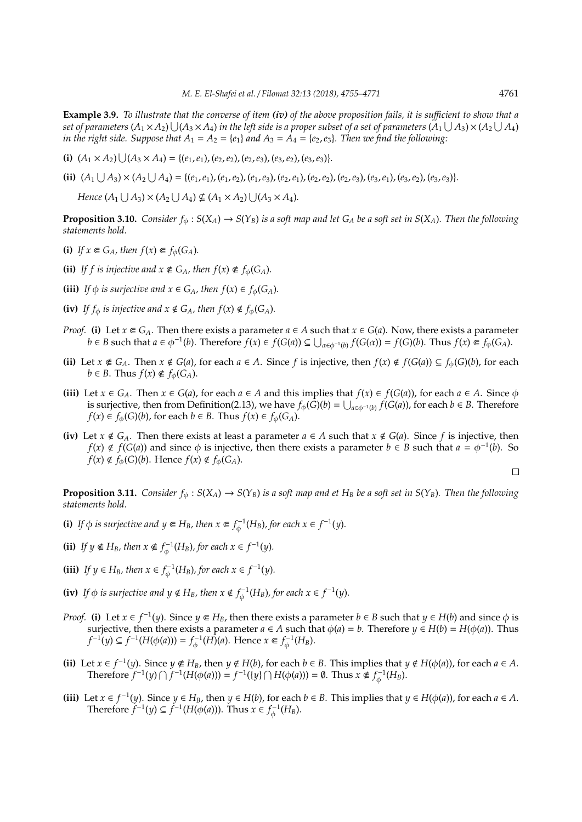**Example 3.9.** *To illustrate that the converse of item (iv) of the above proposition fails, it is su*ffi*cient to show that a* set of parameters  $(A_1\times A_2)\cup (A_3\times A_4)$  in the left side is a proper subset of a set of parameters  $(A_1\cup A_3)\times (A_2\cup A_4)$ *in the right side. Suppose that*  $A_1 = A_2 = \{e_1\}$  *and*  $A_3 = A_4 = \{e_2, e_3\}$ *. Then we find the following:* 

(i)  $(A_1 \times A_2) \cup (A_3 \times A_4) = \{(e_1, e_1), (e_2, e_2), (e_2, e_3), (e_3, e_2), (e_3, e_3)\}.$ 

(ii)  $(A_1 \cup A_3) \times (A_2 \cup A_4) = \{(e_1, e_1), (e_1, e_2), (e_1, e_3), (e_2, e_1), (e_2, e_2), (e_2, e_3), (e_3, e_1), (e_3, e_2), (e_3, e_3)\}.$ 

*Hence*  $(A_1 \cup A_3) \times (A_2 \cup A_4) \nsubseteq (A_1 \times A_2) \cup (A_3 \times A_4)$ *.* 

**Proposition 3.10.** *Consider*  $f_{\phi}: S(X_A) \to S(Y_B)$  *is a soft map and let*  $G_A$  *be a soft set in*  $S(X_A)$ *. Then the following statements hold.*

- **(i)** *If*  $x \in G_A$ *, then*  $f(x) \in f_\phi(G_A)$ *.*
- **(ii)** If f is injective and  $x \notin G_A$ , then  $f(x) \notin f_\phi(G_A)$ .
- **(iii)** *If*  $\phi$  *is surjective and*  $x \in G_A$ *, then*  $f(x) \in f_{\phi}(G_A)$ *.*
- **(iv)** *If*  $f_{\phi}$  *is injective and*  $x \notin G_A$ *, then*  $f(x) \notin f_{\phi}(G_A)$ *.*
- *Proof.* (i) Let  $x \in G_A$ . Then there exists a parameter  $a \in A$  such that  $x \in G(a)$ . Now, there exists a parameter  $b \in B$  such that  $a \in \phi^{-1}(b)$ . Therefore  $f(x) \in f(G(a)) \subseteq \bigcup_{\alpha \in \phi^{-1}(b)} f(G(\alpha)) = f(G)(b)$ . Thus  $f(x) \in f_{\phi}(G_A)$ .
- (ii) Let  $x \notin G_A$ . Then  $x \notin G(a)$ , for each  $a \in A$ . Since f is injective, then  $f(x) \notin f(G(a)) \subseteq f_{\phi}(G)(b)$ , for each  $b \in B$ . Thus  $f(x) \notin f_{\phi}(G_A)$ .
- **(iii)** Let  $x \in G_A$ . Then  $x \in G(a)$ , for each  $a \in A$  and this implies that  $f(x) \in f(G(a))$ , for each  $a \in A$ . Since  $\phi$ is surjective, then from Definition(2.13), we have  $f_\phi(\hat{G})(b) = \bigcup_{a\in\phi^{-1}(b)} f(G(a))$ , for each  $b\in B.$  Therefore *f*(*x*)  $\in$  *f*<sub> $\phi$ </sub>(*G*)(*b*), for each *b*  $\in$  *B*. Thus *f*(*x*)  $\in$  *f*<sub> $\phi$ </sub>(*G*<sub>*A*</sub>).
- **(iv)** Let  $x \notin G_A$ . Then there exists at least a parameter  $a \in A$  such that  $x \notin G(a)$ . Since  $f$  is injective, then *f*(*x*) ∉ *f*(*G*(*a*)) and since  $\phi$  is injective, then there exists a parameter *b* ∈ *B* such that *a* =  $\phi^{-1}(b)$ . So  $f(x) \notin f_{\phi}(G)(b)$ . Hence  $f(x) \notin f_{\phi}(G_{A})$ .

 $\Box$ 

**Proposition 3.11.** *Consider*  $f_{\phi}: S(X_A) \to S(Y_B)$  *is a soft map and et H<sub>B</sub> be a soft set in*  $S(Y_B)$ *. Then the following statements hold.*

- **(i)** *If*  $\phi$  *is surjective and*  $y \in H_B$ *, then*  $x \in f_{\phi}^{-1}(H_B)$ *, for each*  $x \in f^{-1}(y)$ *.*
- **(ii)** *If*  $y \notin H_B$ *, then*  $x \notin f_{\phi}^{-1}(H_B)$ *, for each*  $x \in f^{-1}(y)$ *.*
- **(iii)** *If*  $y \in H_B$ *, then*  $x \in f_{\phi}^{-1}(H_B)$ *, for each*  $x \in f^{-1}(y)$ *.*
- **(iv)** *If*  $\phi$  *is surjective and*  $y \notin H_B$ *, then*  $x \notin f_{\phi}^{-1}(H_B)$ *, for each*  $x \in f^{-1}(y)$ *.*
- *Proof.* (i) Let  $x \in f^{-1}(y)$ . Since  $y \in H_B$ , then there exists a parameter  $b \in B$  such that  $y \in H(b)$  and since  $\phi$  is surjective, then there exists a parameter  $a \in A$  such that  $\phi(a) = b$ . Therefore  $y \in H(b) = H(\phi(a))$ . Thus *f*<sup>-1</sup>(*y*) ⊆ *f*<sup>-1</sup>(*H*( $\phi$ (*a*))) = *f*<sub> $\phi$ </sub><sup>-1</sup>(*H*)(*a*). Hence *x* ∈ *f*<sub> $\phi$ </sub><sup>-1</sup>(*H*<sub>*B*</sub>).
- (ii) Let  $x \in f^{-1}(y)$ . Since  $y \notin H_B$ , then  $y \notin H(b)$ , for each  $b \in B$ . This implies that  $y \notin H(\phi(a))$ , for each  $a \in A$ . Therefore *f*<sup>-1</sup>(*y*) ∩ *f*<sup>-1</sup>(*H*(*φ*(*a*))) = *f*<sup>-1</sup>((*y*) ∩ *H*(*φ*(*a*))) = ∅. Thus *x* ∉ *f*<sub> $\phi$ </sub><sup>-1</sup>(*H*<sub>*B*</sub>).
- (iii) Let  $x \in f^{-1}(y)$ . Since  $y \in H_B$ , then  $y \in H(b)$ , for each  $b \in B$ . This implies that  $y \in H(\phi(a))$ , for each  $a \in A$ . Therefore  $f^{-1}(y)$  ⊆  $f^{-1}(H(\phi(a)))$ . Thus  $x \in f_{\phi}^{-1}(H_B)$ .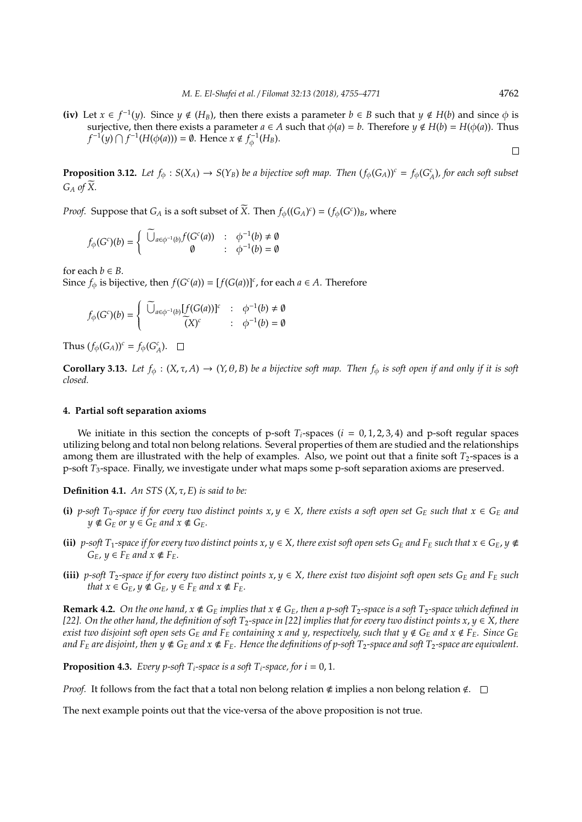$\Box$ 

(iv) Let *x* ∈  $f^{-1}(y)$ . Since *y* ∉ (*H<sub>B</sub>*), then there exists a parameter *b* ∈ *B* such that *y* ∉ *H*(*b*) and since  $\phi$  is surjective, then there exists a parameter  $a \in A$  such that  $\phi(a) = b$ . Therefore  $y \notin H(b) = H(\phi(a))$ . Thus  $f^{-1}(y) \cap f^{-1}(H(\phi(a))) = \emptyset$ . Hence  $x \notin f_{\phi}^{-1}(H_B)$ .

**Proposition 3.12.** Let  $f_{\phi}: S(X_A) \to S(Y_B)$  be a bijective soft map. Then  $(f_{\phi}(G_A))^c = f_{\phi}(G_A^c)$ , for each soft subset  $G_A$  *of*  $\widetilde{X}$ *.* 

*Proof.* Suppose that  $G_A$  is a soft subset of *X*. Then  $f_\phi((G_A)^c) = (f_\phi(G^c))_B$ , where

$$
f_{\phi}(G^{c})(b) = \begin{cases} \n\widetilde{\bigcup}_{a \in \phi^{-1}(b)} f(G^{c}(a)) & : & \phi^{-1}(b) \neq \emptyset \\ \n\emptyset & : & \phi^{-1}(b) = \emptyset \n\end{cases}
$$

for each  $b \in B$ .

Since  $f_{\phi}$  is bijective, then  $f(G^{c}(a)) = [f(G(a))]^{c}$ , for each  $a \in A$ . Therefore

$$
f_{\phi}(G^{c})(b) = \begin{cases} \widetilde{\bigcup}_{a \in \phi^{-1}(b)} [f(G(a))]^{c} & : \phi^{-1}(b) \neq \emptyset \\ \widetilde{\big(X\big)^{c}} & : \phi^{-1}(b) = \emptyset \end{cases}
$$

Thus  $(f_{\phi}(G_A))^c = f_{\phi}(G_A^c)$ .

**Corollary 3.13.** *Let*  $f_{\phi}$  :  $(X, \tau, A) \to (Y, \theta, B)$  *be a bijective soft map. Then*  $f_{\phi}$  *is soft open if and only if it is soft closed.*

# **4. Partial soft separation axioms**

We initiate in this section the concepts of p-soft  $T_i$ -spaces ( $i = 0, 1, 2, 3, 4$ ) and p-soft regular spaces utilizing belong and total non belong relations. Several properties of them are studied and the relationships among them are illustrated with the help of examples. Also, we point out that a finite soft  $T_2$ -spaces is a p-soft *T*3-space. Finally, we investigate under what maps some p-soft separation axioms are preserved.

**Definition 4.1.** *An STS* (*X*, τ, *E*) *is said to be:*

- **(i)** *p-soft*  $T_0$ -space if for every two distinct points  $x, y \in X$ , there exists a soft open set  $G_E$  such that  $x \in G_E$  and  $y \notin G_F$  or  $y \in G_F$  and  $x \notin G_F$ .
- **(ii)**  $p$ -soft  $T_1$ -space if for every two distinct points  $x, y \in X$ , there exist soft open sets  $G_E$  and  $F_E$  such that  $x \in G_E$ ,  $y \notin Y$  $G_E$ ,  $\psi \in F_E$  and  $\chi \notin F_E$ .
- **(iii)** *p*-soft  $T_2$ -space if for every two distinct points  $x, y \in X$ , there exist two disjoint soft open sets  $G_E$  and  $F_E$  such *that*  $x \in G_E$ ,  $y \notin G_E$ ,  $y \in F_E$  and  $x \notin F_E$ .

**Remark 4.2.** On the one hand,  $x \notin G_E$  implies that  $x \notin G_E$ , then a p-soft  $T_2$ -space is a soft  $T_2$ -space which defined in *[22]. On the other hand, the definition of soft T*2*-space in [22] implies that for every two distinct points x*, *y* ∈ *X, there exist two disjoint soft open sets*  $G_E$  *and*  $F_E$  *containing x and y, respectively, such that*  $y \notin G_E$  *and*  $x \notin F_E$ *. Since*  $G_E$ *and*  $F_E$  *are disjoint, then*  $y \notin G_E$  *and*  $x \notin F_E$ . Hence the definitions of p-soft  $T_2$ -space and soft  $T_2$ -space are equivalent.

**Proposition 4.3.** *Every p-soft*  $T_i$ -space is a soft  $T_i$ -space, for  $i = 0, 1$ .

*Proof.* It follows from the fact that a total non belong relation  $\notin$  implies a non belong relation  $\notin$ .  $\square$ 

The next example points out that the vice-versa of the above proposition is not true.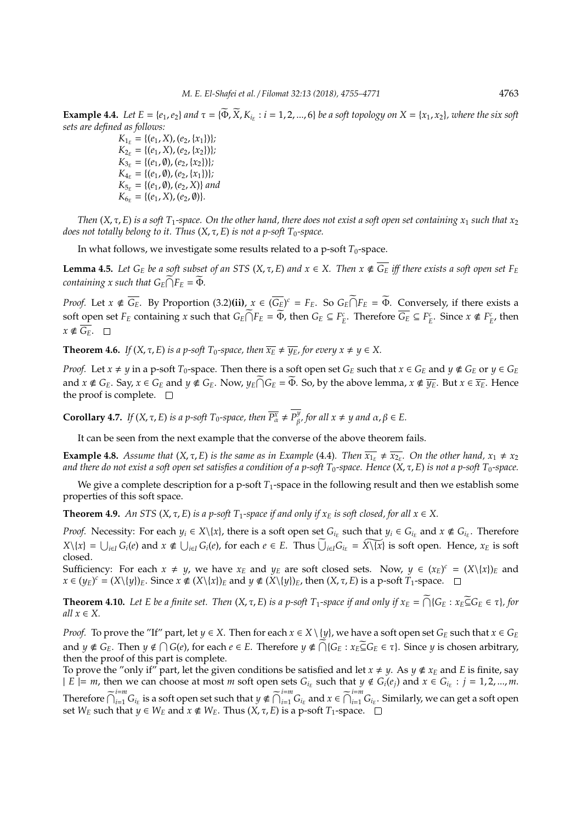**Example 4.4.** *Let*  $E = \{e_1, e_2\}$  *and*  $\tau = \{\overline{\Phi}, \overline{X}, K_{i_E} : i = 1, 2, ..., 6\}$  *be a soft topology on*  $X = \{x_1, x_2\}$ *, where the six soft sets are defined as follows:*

> $K_{1_E} = \{(e_1, X), (e_2, \{x_1\})\};$  $K_{2_E} = \{(e_1, X), (e_2, \{x_2\})\};$  $K_{3_E} = \{(e_1, \emptyset), (e_2, \{x_2\})\};$  $K_{4_E} = \{(e_1, \emptyset), (e_2, \{x_1\})\};$  $K_{5E} = \{(e_1, \emptyset), (e_2, X)\}$  and  $K_{6E} = \{(e_1, X), (e_2, \emptyset)\}.$

*Then*  $(X, \tau, E)$  *is a soft*  $T_1$ -space. On the other hand, there does not exist a soft open set containing  $x_1$  such that  $x_2$ *does not totally belong to it. Thus*  $(X, \tau, E)$  *is not a p-soft T*<sub>0</sub>*-space.* 

In what follows, we investigate some results related to a p-soft  $T_0$ -space.

**Lemma 4.5.** Let  $G_E$  be a soft subset of an STS (X,  $\tau$ , E) and  $x \in X$ . Then  $x \notin \overline{G_E}$  iff there exists a soft open set  $F_E$ *containing x such that*  $G_E \cap F_E = \Phi$ *.* 

*Proof.* Let  $x \notin \overline{G_E}$ . By Proportion (3.2)(ii),  $x \in (\overline{G_E})^c = F_E$ . So  $G_E \cap F_E = \overline{\Phi}$ . Conversely, if there exists a soft open set  $F_E$  containing x such that  $G_E \cap F_E = \overline{\Phi}$ , then  $G_E \subseteq F_E^c$ . Therefore  $\overline{G_E} \subseteq F_E^c$ . Since  $x \notin F_E^c$ , then  $x \notin \overline{G_F}$ .  $\square$ 

**Theorem 4.6.** *If*  $(X, \tau, E)$  *is a p-soft*  $T_0$ *-space, then*  $\overline{x_E} \neq \overline{y_E}$ *, for every*  $x \neq y \in X$ *.* 

*Proof.* Let  $x \neq y$  in a p-soft  $T_0$ -space. Then there is a soft open set  $G_E$  such that  $x \in G_E$  and  $y \notin G_E$  or  $y \in G_E$ and  $x \notin G_E$ . Say,  $x \in G_E$  and  $y \notin G_E$ . Now,  $y_E \cap G_E = \widetilde{\Phi}$ . So, by the above lemma,  $x \notin \overline{y_E}$ . But  $x \in \overline{x_E}$ . Hence the proof is complete.  $\quad \Box$ 

**Corollary 4.7.** *If*  $(X, \tau, E)$  *is a p-soft*  $T_0$ *-space, then*  $\overline{P^x_\alpha} \neq P^y_\beta$  $\beta^y$ , for all  $x \neq y$  and  $\alpha, \beta \in E$ .

It can be seen from the next example that the converse of the above theorem fails.

**Example 4.8.** *Assume that*  $(X, \tau, E)$  *is the same as in Example* (4.4)*. Then*  $\overline{x_{1_E}} \neq \overline{x_{2_E}}$ *. On the other hand,*  $x_1 \neq x_2$ *and there do not exist a soft open set satisfies a condition of a p-soft T*0*-space. Hence* (*X*, τ, *E*) *is not a p-soft T*0*-space.*

We give a complete description for a p-soft  $T_1$ -space in the following result and then we establish some properties of this soft space.

**Theorem 4.9.** *An STS* (*X,*  $\tau$ *, E*) *is a p-soft*  $T_1$ *-space if and only if*  $x_E$  *is soft closed, for all*  $x \in X$ .

*Proof.* Necessity: For each  $y_i \in X \setminus \{x\}$ , there is a soft open set  $G_{i_E}$  such that  $y_i \in G_{i_E}$  and  $x \notin G_{i_E}$ . Therefore  $X\setminus\{x\} = \bigcup_{i\in I} G_i(e)$  and  $x \notin \bigcup_{i\in I} G_i(e)$ , for each  $e \in E$ . Thus  $\widetilde{\bigcup}_{i\in I} G_{i_E} = \widetilde{X\setminus\{x\}}$  is soft open. Hence,  $x_E$  is soft closed.

Sufficiency: For each  $x \neq y$ , we have  $x_E$  and  $y_E$  are soft closed sets. Now,  $y \in (x_E)^c = (X \setminus \{x\})_E$  and  $x \in (y_E)^c = (X \setminus \{y\})_E$ . Since  $x \notin (X \setminus \{x\})_E$  and  $y \notin (X \setminus \{y\})_E$ , then  $(X, \tau, E)$  is a p-soft  $T_1$ -space.

**Theorem 4.10.** Let E be a finite set. Then  $(X, \tau, E)$  is a p-soft  $T_1$ -space if and only if  $x_E = \bigcap \{G_E : x_E \subseteq G_E \in \tau\}$ , for *all*  $x \in X$ .

*Proof.* To prove the "If" part, let  $y \in X$ . Then for each  $x \in X \setminus \{y\}$ , we have a soft open set  $G_E$  such that  $x \in G_E$ and  $y \notin G_E$ . Then  $y \notin \bigcap G(e)$ , for each  $e \in E$ . Therefore  $y \notin \bigcap \{G_E : x_E \subseteq G_E \in \tau\}$ . Since *y* is chosen arbitrary, then the proof of this part is complete.

To prove the "only if" part, let the given conditions be satisfied and let  $x \neq y$ . As  $y \notin x_E$  and *E* is finite, say  $\mid E$  = *m*, then we can choose at most *m* soft open sets  $G_{i_E}$  such that  $y \notin G_i(e_j)$  and  $x \in G_{i_E}$ :  $j = 1, 2, ..., m$ . Therefore  $\widetilde{\bigcap}_{i=1}^{i=m} G_{i_E}$  is a soft open set such that  $y \notin \widetilde{\bigcap}_{i=1}^{i=m} G_{i_E}$  and  $x \in \widetilde{\bigcap}_{i=1}^{i=m} G_{i_E}$ . Similarly, we can get a soft open set *W<sub>E</sub>* such that *y* ∈ *W<sub>E</sub>* and *x* ∉ *W<sub>E</sub>*. Thus (*X*, *τ*, *E*) is a p-soft *T*<sub>1</sub>-space.  $□$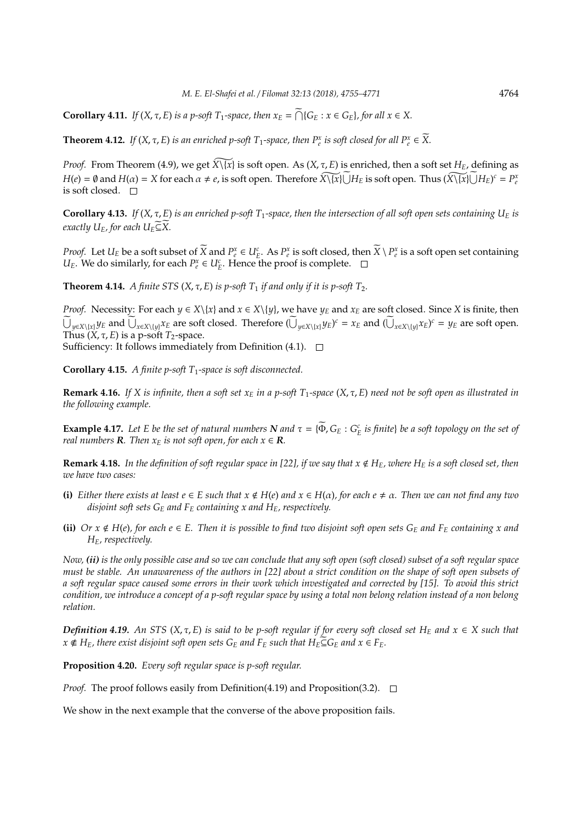**Corollary 4.11.** *If*  $(X, \tau, E)$  *is a p-soft*  $T_1$ *-space, then*  $x_E = \bigcap \{G_E : x \in G_E\}$ *, for all*  $x \in X$ .

**Theorem 4.12.** *If*  $(X, \tau, E)$  *is an enriched p-soft*  $T_1$ *-space, then*  $P_e^x$  *is soft closed for all*  $P_e^x \in \widetilde{X}$ *.* 

*Proof.* From Theorem (4.9), we get  $\widehat{X\setminus\{x\}}$  is soft open. As  $(X, \tau, E)$  is enriched, then a soft set  $H_E$ , defining as  $H(e) = \emptyset$  and  $H(\alpha) = X$  for each  $\alpha \neq e$ , is soft open. Therefore  $\widehat{X \setminus \{x\}} \cup H_E$  is soft open. Thus  $(\widehat{X \setminus \{x\}} \cup H_E)^c = P_e^x$ is soft closed.  $\square$ 

**Corollary 4.13.** *If* (*X*,  $\tau$ , *E*) *is an enriched p-soft*  $T_1$ -space, then the intersection of all soft open sets containing  $U_E$  *is exactly*  $U_E$ *, for each*  $U_E \widetilde{\subseteq} \widetilde{X}$ *.* 

*Proof.* Let  $U_E$  be a soft subset of  $\widetilde{X}$  and  $P_e^x \in U_E^c$ . As  $P_e^x$  is soft closed, then  $\widetilde{X} \setminus P_e^x$  is a soft open set containing *U<sub>E</sub>*. We do similarly, for each  $P_e^x \in U_E^c$ . Hence the proof is complete.

**Theorem 4.14.** *A finite STS*  $(X, \tau, E)$  *is p-soft*  $T_1$  *if and only if it is p-soft*  $T_2$ *.* 

*Proof.* Necessity: For each  $y \in X \setminus \{x\}$  and  $x \in X \setminus \{y\}$ , we have  $y_E$  and  $x_E$  are soft closed. Since *X* is finite, then  $\bigcup_{y \in X \setminus \{x\}} y_E$  and  $\bigcup_{x \in X \setminus \{y\}} x_E$  are soft closed. Therefore  $(\bigcup_{y \in X \setminus \{x\}} y_E)^c = x_E$  and  $(\bigcup_{x \in X \setminus \{y\}} x_E)^c = y_E$  are soft open. Thus  $(X, \tau, E)$  is a p-soft *T*<sub>2</sub>-space.

Sufficiency: It follows immediately from Definition (4.1).  $\Box$ 

**Corollary 4.15.** *A finite p-soft T*1*-space is soft disconnected.*

**Remark 4.16.** *If X is infinite, then a soft set x<sup>E</sup> in a p-soft T*1*-space* (*X*, τ, *E*) *need not be soft open as illustrated in the following example.*

**Example 4.17.** Let E be the set of natural numbers  $N$  and  $\tau = {\Phi, G_E : G_E^c}$  is finite) be a soft topology on the set of *real numbers* **R***. Then*  $x_F$  *is not soft open, for each*  $x \in \mathbb{R}$ *.* 

**Remark 4.18.** In the definition of soft regular space in [22], if we say that  $x \notin H_E$ , where  $H_E$  is a soft closed set, then *we have two cases:*

- **(i)** *Either there exists at least*  $e \in E$  *such that*  $x \notin H(e)$  *and*  $x \in H(\alpha)$ *, for each*  $e \neq \alpha$ *. Then we can not find any two disjoint soft sets G<sup>E</sup> and F<sup>E</sup> containing x and HE, respectively.*
- **(ii)** *Or*  $x \notin H(e)$ *, for each*  $e \in E$ *. Then it is possible to find two disjoint soft open sets*  $G_E$  *and*  $F_E$  *containing*  $x$  *and HE, respectively.*

*Now, (ii) is the only possible case and so we can conclude that any soft open (soft closed) subset of a soft regular space must be stable. An unawareness of the authors in [22] about a strict condition on the shape of soft open subsets of a soft regular space caused some errors in their work which investigated and corrected by [15]. To avoid this strict condition, we introduce a concept of a p-soft regular space by using a total non belong relation instead of a non belong relation.*

*Definition 4.19.* An STS ( $X, \tau, E$ ) is said to be p-soft regular if for every soft closed set  $H_E$  and  $x \in X$  such that *x*  $\notin$  *H*<sub>E</sub>*,* there exist disjoint soft open sets  $G_E$  and  $F_E$  such that  $H_E \subseteq G_E$  and  $x \in F_E$ .

**Proposition 4.20.** *Every soft regular space is p-soft regular.*

*Proof.* The proof follows easily from Definition(4.19) and Proposition(3.2).  $\Box$ 

We show in the next example that the converse of the above proposition fails.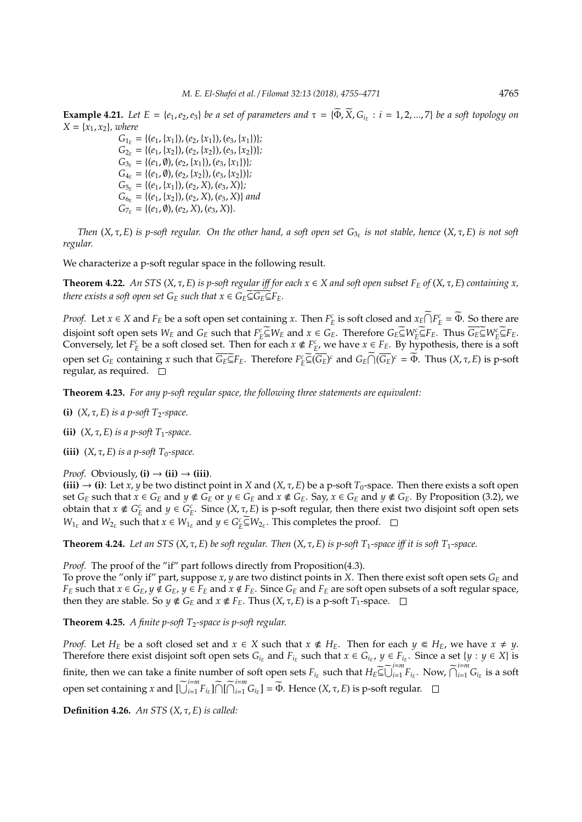**Example 4.21.** Let  $E = \{e_1, e_2, e_3\}$  be a set of parameters and  $\tau = \{\widetilde{\Phi}, \widetilde{X}, G_{i_E} : i = 1, 2, ..., 7\}$  be a soft topology on  $X = \{x_1, x_2\}$ *, where* 

> $G_{1_E} = \{(e_1, \{x_1\})$ ,  $(e_2, \{x_1\})$ ,  $(e_3, \{x_1\})\}$ ;  $G_{2_E} = \{(e_1,\{x_2\}), (e_2,\{x_2\}), (e_3,\{x_2\})\};$  $G_{3_E} = \{(e_1, \emptyset), (e_2, \{x_1\}), (e_3, \{x_1\})\};$  $G_{4E} = \{(e_1, \emptyset), (e_2, \{x_2\}), (e_3, \{x_2\})\};$  $G_{5_E} = \{(e_1, \{x_1\})$ ,  $(e_2, X)$ ,  $(e_3, X)\}$ ;  $G_{6E} = \{(e_1, \{x_2\}), (e_2, X), (e_3, X)\}$  *and*  $G_{7_F} = \{(e_1, \emptyset), (e_2, X), (e_3, X)\}.$

*Then* (*X*, τ, *E*) *is p-soft regular. On the other hand, a soft open set G*3*<sup>E</sup> is not stable, hence* (*X*, τ, *E*) *is not soft regular.*

We characterize a p-soft regular space in the following result.

**Theorem 4.22.** An STS ( $X, \tau, E$ ) is p-soft regular iff for each  $x \in X$  and soft open subset  $F_E$  of ( $X, \tau, E$ ) containing x, *there exists a soft open set*  $G_E$  *such that*  $x \in G_E \subseteq \overline{G_E} \subseteq F_E$ .

*Proof.* Let  $x \in X$  and  $F_E$  be a soft open set containing *x*. Then  $F_E^c$  is soft closed and  $x_E \cap F_E^c = \Phi$ . So there are disjoint soft open sets  $W_E$  and  $G_E$  such that  $F_E^c \subseteq W_E$  and  $x \in G_E$ . Therefore  $G_E \subseteq W_E^c \subseteq F_E$ . Thus  $\overline{G_E} \subseteq W_E^c \subseteq F_E$ . Conversely, let  $F_E^c$  be a soft closed set. Then for each  $x \notin F_E^c$ , we have  $x \in F_E$ . By hypothesis, there is a soft open set  $G_E$  containing x such that  $\overline{G_E \subseteq} F_E$ . Therefore  $F_E^c \subseteq (\overline{G_E})^c$  and  $G_E \cap (\overline{G_E})^c = \overline{\Phi}$ . Thus  $(X, \tau, E)$  is p-soft regular, as required.  $\square$ 

**Theorem 4.23.** *For any p-soft regular space, the following three statements are equivalent:*

- **(i)**  $(X, \tau, E)$  *is a p-soft*  $T_2$ -space.
- **(ii)**  $(X, \tau, E)$  *is a p-soft*  $T_1$ *-space.*
- **(iii)**  $(X, \tau, E)$  *is a p-soft*  $T_0$ -space.

*Proof.* Obviously,  $(i) \rightarrow (ii) \rightarrow (iii)$ .

**(iii)**  $\rightarrow$  **(i)**: Let *x*, *y* be two distinct point in *X* and (*X*, *τ*, *E*) be a p-soft *T*<sub>0</sub>-space. Then there exists a soft open set  $G_E$  such that  $x \in G_E$  and  $y \notin G_E$  or  $y \in G_E$  and  $x \notin G_E$ . Say,  $x \in G_E$  and  $y \notin G_E$ . By Proposition (3.2), we obtain that  $x \notin G_E^c$  and  $y \in G_E^c$ . Since  $(X, \tau, E)$  is p-soft regular, then there exist two disjoint soft open sets *W*<sub>1*E*</sub> and *W*<sub>2*E*</sub> such that *x* ∈ *W*<sub>1*E*</sub> and *y* ∈ *G*<sup>*c*</sup><sub>*E*</sub> ⊆ *W*<sub>2*E*</sub>. This completes the proof.

**Theorem 4.24.** Let an STS  $(X, \tau, E)$  be soft regular. Then  $(X, \tau, E)$  is p-soft  $T_1$ -space iff it is soft  $T_1$ -space.

*Proof.* The proof of the "if" part follows directly from Proposition(4.3).

To prove the "only if" part, suppose  $x$ ,  $y$  are two distinct points in X. Then there exist soft open sets  $G_F$  and  $F_E$  such that  $x \in G_E$ ,  $y \notin G_E$ ,  $y \in F_E$  and  $x \notin F_E$ . Since  $G_E$  and  $F_E$  are soft open subsets of a soft regular space, then they are stable. So  $y \notin G_E$  and  $x \notin F_E$ . Thus  $(X, \tau, E)$  is a p-soft  $T_1$ -space.  $\Box$ 

**Theorem 4.25.** *A finite p-soft T*2*-space is p-soft regular.*

*Proof.* Let  $H_E$  be a soft closed set and  $x \in X$  such that  $x \notin H_E$ . Then for each  $y \in H_E$ , we have  $x \neq y$ . Therefore there exist disjoint soft open sets  $G_{i_E}$  and  $F_{i_E}$  such that  $x \in G_{i_E}$ ,  $y \in F_{i_E}$ . Since a set  $\{y : y \in X\}$  is finite, then we can take a finite number of soft open sets  $F_{i_E}$  such that  $H_E \widetilde{\subseteq} \widetilde{\bigcup}_{i=1}^{i=m} F_{i_E}$ . Now,  $\widetilde{\bigcap}_{i=1}^{i=m} G_{i_E}$  is a soft open set containing *x* and  $\left[\bigcup_{i=1}^{i=m} F_{i_E}\right] \bigcap \left[\bigcap_{i=1}^{i=m} G_{i_E}\right] = \widetilde{\Phi}$ . Hence  $(X, \tau, E)$  is p-soft regular.

**Definition 4.26.** *An STS* (*X*, τ, *E*) *is called:*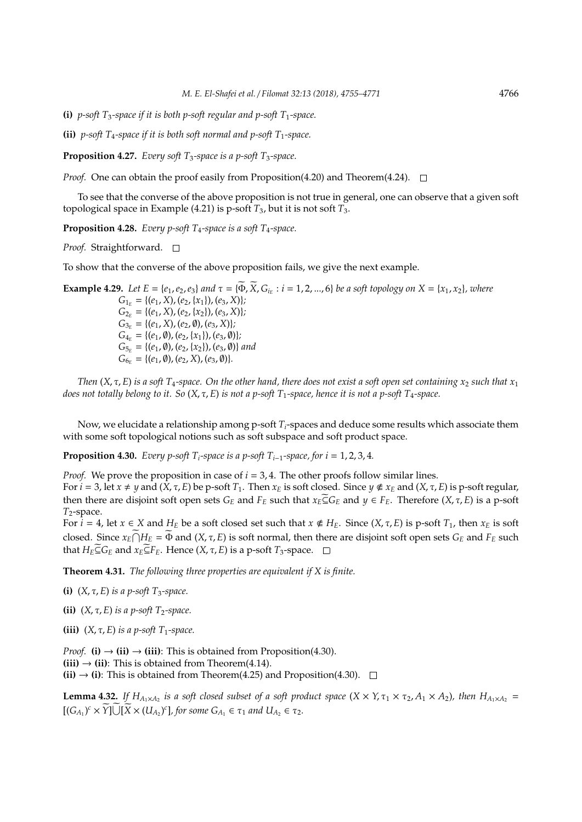**(i)** *p-soft*  $T_3$ -space if it is both *p-soft* regular and *p-soft*  $T_1$ -space.

**(ii)** *p-soft*  $T_4$ -space if it is both soft normal and p-soft  $T_1$ -space.

**Proposition 4.27.** *Every soft T<sub>3</sub>-space is a p-soft T<sub>3</sub>-space.* 

*Proof.* One can obtain the proof easily from Proposition(4.20) and Theorem(4.24).  $\square$ 

To see that the converse of the above proposition is not true in general, one can observe that a given soft topological space in Example (4.21) is p-soft  $T_3$ , but it is not soft  $T_3$ .

**Proposition 4.28.** *Every p-soft T*4*-space is a soft T*4*-space.*

*Proof.* Straightforward. □

To show that the converse of the above proposition fails, we give the next example.

**Example 4.29.** Let  $E = \{e_1, e_2, e_3\}$  and  $\tau = \{\widetilde{\Phi}, \widetilde{X}, G_{i_E} : i = 1, 2, ..., 6\}$  be a soft topology on  $X = \{x_1, x_2\}$ , where  $G_{1_F} = \{(e_1, X), (e_2, \{x_1\}), (e_3, X)\};$  $G_{2_E} = \{(e_1, X), (e_2, \{x_2\}), (e_3, X)\};$  $G_{3_E} = \{(e_1, X), (e_2, \emptyset), (e_3, X)\};$  $G_{4_E} = \{(e_1, \emptyset), (e_2, \{x_1\}), (e_3, \emptyset)\};$  $G_{5r} = \{(e_1, \emptyset), (e_2, \{x_2\}), (e_3, \emptyset)\}\$ and  $G_{6E} = \{(e_1, \emptyset), (e_2, X), (e_3, \emptyset)\}.$ 

*Then*  $(X, \tau, E)$  *is a soft*  $T_4$ -space. On the other hand, there does not exist a soft open set containing  $x_2$  such that  $x_1$ *does not totally belong to it. So* (*X*, τ, *E*) *is not a p-soft T*1*-space, hence it is not a p-soft T*4*-space.*

Now, we elucidate a relationship among p-soft *Ti*-spaces and deduce some results which associate them with some soft topological notions such as soft subspace and soft product space.

**Proposition 4.30.** *Every p-soft*  $T_i$ -space is a p-soft  $T_{i-1}$ -space, for  $i = 1, 2, 3, 4$ .

*Proof.* We prove the proposition in case of  $i = 3, 4$ . The other proofs follow similar lines.

For  $i = 3$ , let  $x \neq y$  and  $(X, \tau, E)$  be p-soft  $T_1$ . Then  $x_E$  is soft closed. Since  $y \notin x_E$  and  $(X, \tau, E)$  is p-soft regular, then there are disjoint soft open sets  $G_E$  and  $F_E$  such that  $x_E \subseteq G_E$  and  $y \in F_E$ . Therefore  $(X, \tau, E)$  is a p-soft *T*2-space.

For  $\hat{i} = 4$ , let  $x \in X$  and  $H_E$  be a soft closed set such that  $x \notin H_E$ . Since  $(X, \tau, E)$  is p-soft  $T_1$ , then  $x_E$  is soft closed. Since  $x_E \cap H_E = \Phi$  and  $(X, \tau, E)$  is soft normal, then there are disjoint soft open sets  $G_E$  and  $F_E$  such that  $H_E \subseteq G_E$  and  $x_E \subseteq F_E$ . Hence  $(X, \tau, E)$  is a p-soft  $T_3$ -space.  $\Box$ 

**Theorem 4.31.** *The following three properties are equivalent if X is finite.*

**(i)**  $(X, \tau, E)$  *is a p-soft*  $T_3$ -space.

**(ii)**  $(X, \tau, E)$  *is a p-soft T<sub>2</sub>-space.* 

**(iii)**  $(X, \tau, E)$  *is a p-soft*  $T_1$ -space.

*Proof.* **(i)**  $\rightarrow$  **(ii)**  $\rightarrow$  **(iii)**: This is obtained from Proposition(4.30).  $(iii) \rightarrow (ii)$ : This is obtained from Theorem(4.14). **(ii)**  $\rightarrow$  **(i)**: This is obtained from Theorem(4.25) and Proposition(4.30).  $\Box$ 

**Lemma 4.32.** If  $H_{A_1\times A_2}$  is a soft closed subset of a soft product space  $(X \times Y, \tau_1 \times \tau_2, A_1 \times A_2)$ , then  $H_{A_1\times A_2}$  $[(G_{A_1})^c \times \widetilde{Y}] \cup [\widetilde{X} \times (U_{A_2})^c]$ , for some  $G_{A_1} \in \tau_1$  and  $U_{A_2} \in \tau_2$ .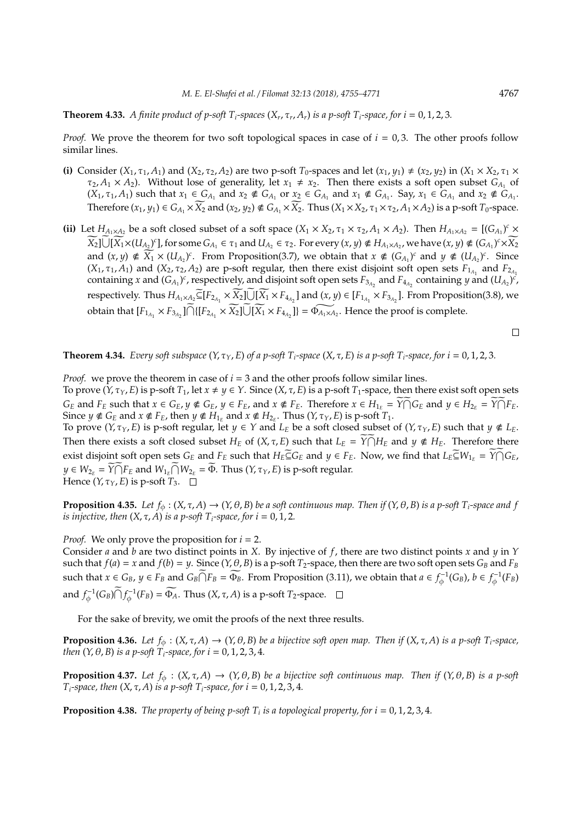**Theorem 4.33.** *A finite product of p-soft T*<sub>*i</sub>-spaces* ( $X_r$ ,  $\tau_r$ ,  $A_r$ ) *is a p-soft T*<sub>*i</sub>-space, for i* = 0, 1, 2, 3.</sub></sub>

*Proof.* We prove the theorem for two soft topological spaces in case of  $i = 0, 3$ . The other proofs follow similar lines.

- (i) Consider  $(X_1, \tau_1, A_1)$  and  $(X_2, \tau_2, A_2)$  are two p-soft  $T_0$ -spaces and let  $(x_1, y_1) \neq (x_2, y_2)$  in  $(X_1 \times X_2, \tau_1 \times$  $\tau_2$ ,  $A_1 \times A_2$ ). Without lose of generality, let  $x_1 \neq x_2$ . Then there exists a soft open subset  $G_{A_1}$  of  $(X_1, \tau_1, A_1)$  such that  $x_1 \in G_{A_1}$  and  $x_2 \notin G_{A_1}$  or  $x_2 \in G_{A_1}$  and  $x_1 \notin G_{A_1}$ . Say,  $x_1 \in G_{A_1}$  and  $x_2 \notin G_{A_1}$ . Therefore  $(x_1, y_1) \in G_{A_1} \times \widetilde{X_2}$  and  $(x_2, y_2) \notin G_{A_1} \times \widetilde{X_2}$ . Thus  $(X_1 \times X_2, \tau_1 \times \tau_2, A_1 \times A_2)$  is a p-soft  $T_0$ -space.
- (ii) Let  $H_{A_1 \times A_2}$  be a soft closed subset of a soft space  $(X_1 \times X_2, \tau_1 \times \tau_2, A_1 \times A_2)$ . Then  $H_{A_1 \times A_2} = [(G_{A_1})^c \times G_{A_1}]$  $\widetilde{X_2}$ ] $\overline{\bigcup}$ [ $\widetilde{X_1} \times (U_{A_2})^c$ ], for some  $G_{A_1} \in \tau_1$  and  $U_{A_2} \in \tau_2$ . For every  $(x, y) \notin H_{A_1 \times A_2}$ , we have  $(x, y) \notin (G_{A_1})^c \times \widetilde{X_2}$ and  $(x, y) \notin \widetilde{X}_1 \times (U_{A_2})^c$ . From Proposition(3.7), we obtain that  $x \notin (G_{A_1})^c$  and  $y \notin (U_{A_2})^c$ . Since  $(X_1, \tau_1, A_1)$  and  $(X_2, \tau_2, A_2)$  are p-soft regular, then there exist disjoint soft open sets  $F_{1_{A_1}}$  and  $F_{2_{A_1}}$ containing *x* and  $(G_{A_1})^c$ , respectively, and disjoint soft open sets  $F_{3_{A_2}}$  and  $F_{4_{A_2}}$  containing *y* and  $(U_{A_2})^c$ , respectively. Thus  $H_{A_1 \times A_2} \widetilde{\subseteq} [F_{2_{A_1}} \times \widetilde{X_2}] \cup [\widetilde{X_1} \times F_{4_{A_2}}]$  and  $(x, y) \in [F_{1_{A_1}} \times F_{3_{A_2}}]$ . From Proposition(3.8), we obtain that  $[F_{1_{A_1}} \times F_{3_{A_2}}] \cap \{ [F_{2_{A_1}} \times \widetilde{X_2}] \cup [\widetilde{X_1} \times F_{4_{A_2}}] \} = \widetilde{\Phi_{A_1 \times A_2}}$ . Hence the proof is complete.

$$
\qquad \qquad \Box
$$

**Theorem 4.34.** *Every soft subspace*  $(Y, \tau_Y, E)$  *of a p-soft*  $T_i$ *-space*  $(X, \tau, E)$  *is a p-soft*  $T_i$ *-space, for i* = 0, 1, 2, 3*.* 

*Proof.* we prove the theorem in case of  $i = 3$  and the other proofs follow similar lines. To prove  $(Y, \tau_Y, E)$  is p-soft  $T_1$ , let  $x \neq y \in Y$ . Since  $(X, \tau, E)$  is a p-soft  $T_1$ -space, then there exist soft open sets  $G_E$  and  $F_E$  such that  $x \in G_E$ ,  $y \notin G_E$ ,  $y \in F_E$ , and  $x \notin F_E$ . Therefore  $x \in H_{1_E} = \widetilde{Y \cap} G_E$  and  $y \in H_{2_E} = \widetilde{Y \cap} F_E$ . Since  $y \notin G_E$  and  $x \notin F_E$ , then  $y \notin H_{1_E}$  and  $x \notin H_{2_E}$ . Thus  $(Y, \tau_Y, E)$  is p-soft  $T_1$ .

To prove  $(Y, \tau_Y, E)$  is p-soft regular, let  $y \in Y$  and  $L_E$  be a soft closed subset of  $(Y, \tau_Y, E)$  such that  $y \notin L_E$ . Then there exists a soft closed subset  $H_E$  of  $(X, \tau, E)$  such that  $L_E = \widetilde{Y \cap H_E}$  and  $y \notin H_E$ . Therefore there exist disjoint soft open sets  $G_E$  and  $F_E$  such that  $H_E \widetilde{\subseteq} G_E$  and  $y \in F_E$ . Now, we find that  $L_E \widetilde{\subseteq} W_{1_E} = \widetilde{Y \cap} G_E$ ,  $y \in W_{2_E} = \widetilde{Y \cap F_E}$  and  $W_{1_E} \widetilde{\cap} W_{2_E} = \widetilde{\Phi}$ . Thus  $(Y, \tau_Y, E)$  is p-soft regular. Hence  $(Y, \tau_Y, E)$  is p-soft  $T_3$ .  $\Box$ 

**Proposition 4.35.** Let  $f_{\phi}$  :  $(X, \tau, A) \rightarrow (Y, \theta, B)$  be a soft continuous map. Then if  $(Y, \theta, B)$  is a p-soft  $T_i$ -space and f *is injective, then*  $(X, \tau, A)$  *is a p-soft*  $T_i$ *-space, for i* = 0, 1, 2*.* 

*Proof.* We only prove the proposition for *i* = 2.

Consider *a* and *b* are two distinct points in *X*. By injective of *f*, there are two distinct points *x* and *y* in *Y* such that  $f(a) = x$  and  $f(b) = y$ . Since  $(Y, \theta, B)$  is a p-soft  $T_2$ -space, then there are two soft open sets  $G_B$  and  $F_B$ such that  $x \in G_B$ ,  $y \in F_B$  and  $G_B \widetilde{\bigcap} F_B = \widetilde{\Phi_B}$ . From Proposition (3.11), we obtain that  $a \in f_{\phi}^{-1}(G_B)$ ,  $b \in f_{\phi}^{-1}(F_B)$ and  $f_{\phi}^{-1}(G_B) \widetilde{\bigcap} f_{\phi}^{-1}(F_B) = \widetilde{\Phi_A}$ . Thus  $(X, \tau, A)$  is a p-soft *T*<sub>2</sub>-space.

For the sake of brevity, we omit the proofs of the next three results.

**Proposition 4.36.** *Let*  $f_{\phi}$  :  $(X, \tau, A) \rightarrow (Y, \theta, B)$  *be a bijective soft open map. Then if*  $(X, \tau, A)$  *is a p-soft T<sub>i</sub>-space, then*  $(Y, \theta, B)$  *is a p-soft*  $T_i$ *-space, for*  $i = 0, 1, 2, 3, 4$ *.* 

**Proposition 4.37.** *Let*  $f_{\phi}$  :  $(X, \tau, A) \rightarrow (Y, \theta, B)$  *be a bijective soft continuous map. Then if*  $(Y, \theta, B)$  *is a p-soft T*<sub>*i*</sub>-space, then  $(X, τ, A)$  *is a p-soft T<sub>i</sub>-space, for i* = 0, 1, 2, 3, 4*.* 

**Proposition 4.38.** *The property of being p-soft T<sup>i</sup> is a topological property, for i* = 0, 1, 2, 3, 4*.*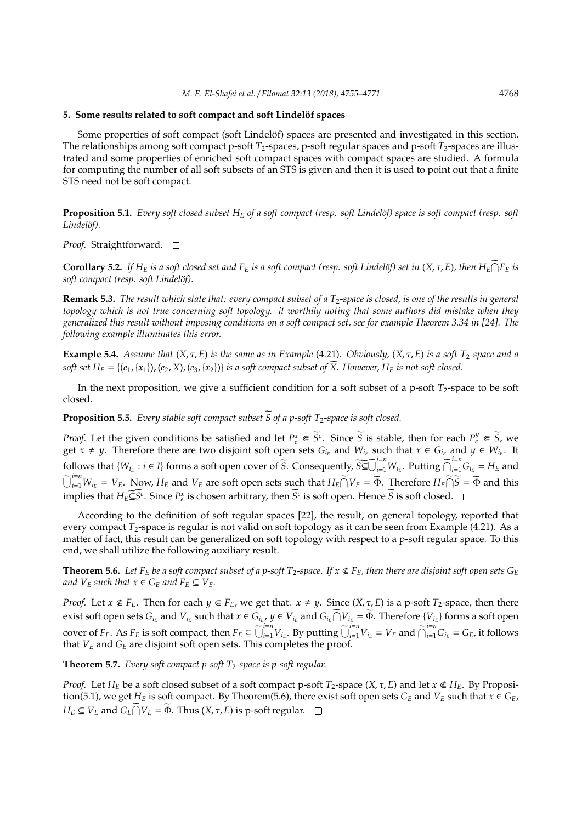#### **5. Some results related to soft compact and soft Lindelöf spaces**

Some properties of soft compact (soft Lindelöf) spaces are presented and investigated in this section. The relationships among soft compact p-soft *T*<sub>2</sub>-spaces, p-soft regular spaces and p-soft *T*<sub>3</sub>-spaces are illustrated and some properties of enriched soft compact spaces with compact spaces are studied. A formula for computing the number of all soft subsets of an STS is given and then it is used to point out that a finite STS need not be soft compact.

**Proposition 5.1.** *Every soft closed subset*  $H_E$  *of a soft compact (resp. soft Lindelöf) space is soft compact (resp. soft* Lindelöf).

*Proof.* Straightforward. □

**Corollary 5.2.** If  $H_E$  is a soft closed set and  $F_E$  is a soft compact (resp. soft Lindelöf) set in  $(X, \tau, E)$ , then  $H_E \cap F_E$  is *soft compact (resp. soft Lindel¨of).*

**Remark 5.3.** *The result which state that: every compact subset of a T*2*-space is closed, is one of the results in general topology which is not true concerning soft topology. it worthily noting that some authors did mistake when they generalized this result without imposing conditions on a soft compact set, see for example Theorem 3.34 in [24]. The following example illuminates this error.*

**Example 5.4.** *Assume that* (*X*, τ, *E*) *is the same as in Example* (4.21)*. Obviously,* (*X*, τ, *E*) *is a soft T*2*-space and a soft set*  $H_E = \{(e_1, \{x_1\})$ ,  $(e_2, X)$ ,  $(e_3, \{x_2\})\}$  *is a soft compact subset of*  $\widetilde{X}$ . However,  $H_E$  *is not soft closed.* 

In the next proposition, we give a sufficient condition for a soft subset of a p-soft  $T_2$ -space to be soft closed.

**Proposition 5.5.** *Every stable soft compact subset*  $\widetilde{S}$  *of a p-soft*  $T_2$ *-space is soft closed.* 

*Proof.* Let the given conditions be satisfied and let  $P_e^x \\\in \overline{S}^c$ . Since  $\overline{S}$  is stable, then for each  $P_e^y \\\in \overline{S}$ , we get  $x \neq y$ . Therefore there are two disjoint soft open sets  $G_{i_E}$  and  $W_{i_E}$  such that  $x \in G_{i_E}$  and  $y \in W_{i_E}$ . It follows that  $\{W_{i_E} : i \in I\}$  forms a soft open cover of  $\widetilde{S}$ . Consequently,  $\widetilde{S} \widetilde{\subseteq} \widetilde{\bigcup}_{i=1}^{i=n} W_{i_E}$ . Putting  $\widetilde{\bigcap}_{i=1}^{i=n} G_{i_E} = H_E$  and  $\widetilde{\bigcup}_{i=1}^{i=n}W_{i_E} = V_E$ . Now,  $H_E$  and  $V_E$  are soft open sets such that  $H_E \widetilde{\bigcap} V_E = \widetilde{\Phi}$ . Therefore  $H_E \widetilde{\bigcap} \widetilde{S} = \widetilde{\Phi}$  and this implies that  $H_E \subseteq \widetilde{S}^c$ . Since  $P_e^x$  is chosen arbitrary, then  $\widetilde{S}^c$  is soft open. Hence  $\widetilde{S}$  is soft closed.

According to the definition of soft regular spaces [22], the result, on general topology, reported that every compact *T*<sub>2</sub>-space is regular is not valid on soft topology as it can be seen from Example (4.21). As a matter of fact, this result can be generalized on soft topology with respect to a p-soft regular space. To this end, we shall utilize the following auxiliary result.

**Theorem 5.6.** Let  $F_E$  be a soft compact subset of a p-soft  $T_2$ -space. If  $x \notin F_E$ , then there are disjoint soft open sets  $G_E$ *and*  $V_E$  *such that*  $x \in G_E$  *and*  $F_E \subseteq V_E$ *.* 

*Proof.* Let  $x \notin F_E$ . Then for each  $y \in F_E$ , we get that.  $x \neq y$ . Since  $(X, \tau, E)$  is a p-soft  $T_2$ -space, then there exist soft open sets  $G_{i_E}$  and  $V_{i_E}$  such that  $x \in G_{i_E}$ ,  $y \in V_{i_E}$  and  $G_{i_E} \cap V_{i_E} = \widetilde{\Phi}$ . Therefore  $\{V_{i_E}\}$  forms a soft open cover of  $F_E$ . As  $F_E$  is soft compact, then  $F_E \subseteq \bigcup_{i=1}^{i=n} V_{i_E}$ . By putting  $\bigcup_{i=1}^{i=n} V_{i_E} = V_E$  and  $\bigcap_{i=1}^{i=n} G_{i_E} = G_E$ , it follows that  $V_E$  and  $G_E$  are disjoint soft open sets. This completes the proof.  $\Box$ 

**Theorem 5.7.** *Every soft compact p-soft T*2*-space is p-soft regular.*

*Proof.* Let  $H_E$  be a soft closed subset of a soft compact p-soft  $T_2$ -space  $(X, \tau, E)$  and let  $x \notin H_E$ . By Proposition(5.1), we get  $H_E$  is soft compact. By Theorem(5.6), there exist soft open sets  $G_E$  and  $V_E$  such that  $x \in G_E$ , *H*<sub>*E*</sub>  $\subseteq$  *V*<sub>*E*</sub> and *G*<sub>*E*</sub> $\cap$ *V*<sub>*E*</sub> =  $\widetilde{\Phi}$ . Thus (*X*, *τ*, *E*) is p-soft regular.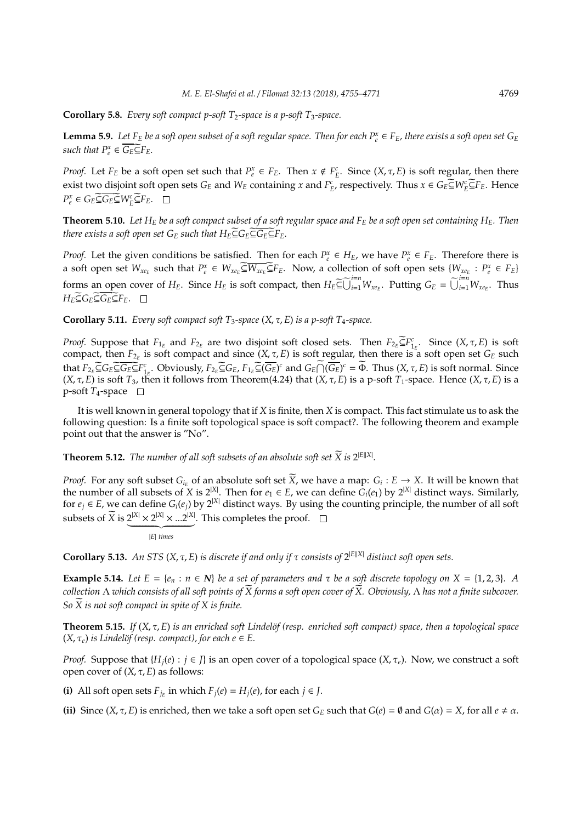**Corollary 5.8.** *Every soft compact p-soft T<sub>2</sub>-space is a p-soft T<sub>3</sub>-space.* 

**Lemma 5.9.** Let  $F_E$  be a soft open subset of a soft regular space. Then for each  $P_e^x \in F_E$ , there exists a soft open set  $G_E$ *such that*  $P_e^x \in \overline{G_E} \subseteq F_E$ *.* 

*Proof.* Let  $F_E$  be a soft open set such that  $P_e^x \in F_E$ . Then  $x \notin F_E^c$ . Since  $(X, \tau, E)$  is soft regular, then there exist two disjoint soft open sets  $G_E$  and  $W_E$  containing *x* and  $F_E^c$ , respectively. Thus  $x \in G_E \subseteq W_E^c \subseteq F_E$ . Hence  $P_e^x \in G_E \widetilde{\subseteq} G_E \widetilde{\subseteq} W_E^c \widetilde{\subseteq} F_E$ .

**Theorem 5.10.** Let  $H_E$  be a soft compact subset of a soft regular space and  $F_E$  be a soft open set containing  $H_E$ . Then *there exists a soft open set*  $G_E$  *such that*  $H_E \subseteq G_E \subseteq G_E \subseteq F_E$ .

*Proof.* Let the given conditions be satisfied. Then for each  $P_e^x \in H_E$ , we have  $P_e^x \in F_E$ . Therefore there is a soft open set  $W_{xe_E}$  such that  $P_e^x \in W_{xe_E} \widetilde{\subseteq} W_{xe_E} \widetilde{\subseteq} F_E$ . Now, a collection of soft open sets  $\{W_{xe_E} : P_e^x \in F_E\}$ forms an open cover of  $H_E$ . Since  $H_E$  is soft compact, then  $H_E \widetilde{\subseteq} \widetilde{\bigcup}_{i=1}^{i=n} W_{xe_E}$ . Putting  $G_E = \widetilde{\bigcup}_{i=1}^{i=n} W_{xe_E}$ . Thus *H*<sup>E</sup>⊆ $G$ <sup>E</sup>⊆ $G$ <sup>E</sup> $E$ <sup>E</sup> $F$ <sub>E</sub>. □

**Corollary 5.11.** *Every soft compact soft*  $T_3$ -space  $(X, \tau, E)$  *is a p-soft*  $T_4$ -space.

*Proof.* Suppose that  $F_{1_E}$  and  $F_{2_E}$  are two disjoint soft closed sets. Then  $F_{2_E} \subseteq F_{1_E}^c$ . Since  $(X, \tau, E)$  is soft compact, then  $F_{2_E}$  is soft compact and since  $(X, \tau, E)$  is soft regular, then there is a soft open set  $G_E$  such that  $F_{2_E} \widetilde{\subseteq} G_E \widetilde{\subseteq} \widetilde{G_E} \widetilde{\subseteq} F_{1_E}^c$ . Obviously,  $F_{2_E} \widetilde{\subseteq} G_E$ ,  $F_{1_E} \widetilde{\subseteq} (\overline{G_E})^c$  and  $G_E \widetilde{\cap} (\overline{G_E})^c = \widetilde{\Phi}$ . Thus  $(X, \tau, E)$  is soft normal. Since (*X*, τ, *E*) is soft *T*<sub>3</sub>, then it follows from Theorem(4.24) that (*X*, τ, *E*) is a p-soft *T*<sub>1</sub>-space. Hence (*X*, τ, *E*) is a  $p$ -soft  $T_4$ -space  $\Box$ 

It is well known in general topology that if *X* is finite, then *X* is compact. This fact stimulate us to ask the following question: Is a finite soft topological space is soft compact?. The following theorem and example point out that the answer is "No".

**Theorem 5.12.** *The number of all soft subsets of an absolute soft set*  $\widetilde{X}$  *is* 2<sup>[E||X]</sup>.

*Proof.* For any soft subset  $G_i$  of an absolute soft set  $\widetilde{X}$ , we have a map:  $G_i : E \to X$ . It will be known that the number of all subsets of *X* is  $2^{|X|}$ . Then for  $e_1 \in E$ , we can define  $G_i(e_1)$  by  $2^{|X|}$  distinct ways. Similarly, for  $e_j \in E$ , we can define  $G_i(e_j)$  by  $2^{|X|}$  distinct ways. By using the counting principle, the number of all soft subsets of  $\widetilde{X}$  is  $2^{|X|} \times 2^{|X|} \times ... 2^{|X|}$ . This completes the proof.

$$
|E| \text{ times}
$$

**Corollary 5.13.** *An STS* (*X*, τ, *E*) *is discrete if and only if* τ *consists of* 2 <sup>|</sup>*E*||*X*<sup>|</sup> *distinct soft open sets.*

**Example 5.14.** *Let*  $E = \{e_n : n \in \mathbb{N}\}\$  *be a set of parameters and*  $\tau$  *be a soft discrete topology on*  $X = \{1, 2, 3\}$ *.* A *collection* Λ *which consists of all soft points of X forms a soft open cover of X. Obviously,* Λ *has not a finite subcover. So*  $\widetilde{X}$  *is not soft compact in spite of X is finite.* 

**Theorem 5.15.** *If*  $(X, \tau, E)$  *is an enriched soft Lindelöf (resp. enriched soft compact) space, then a topological space*  $(X, \tau_e)$  *is Lindelöf (resp. compact), for each*  $e \in E$ *.* 

*Proof.* Suppose that  $\{H_i(e): i \in J\}$  is an open cover of a topological space  $(X, \tau_e)$ . Now, we construct a soft open cover of (*X*, τ, *E*) as follows:

**(i)** All soft open sets  $F_{j_E}$  in which  $F_j(e) = H_j(e)$ , for each  $j \in J$ .

**(ii)** Since  $(X, \tau, E)$  is enriched, then we take a soft open set  $G_E$  such that  $G(e) = \emptyset$  and  $G(\alpha) = X$ , for all  $e \neq \alpha$ .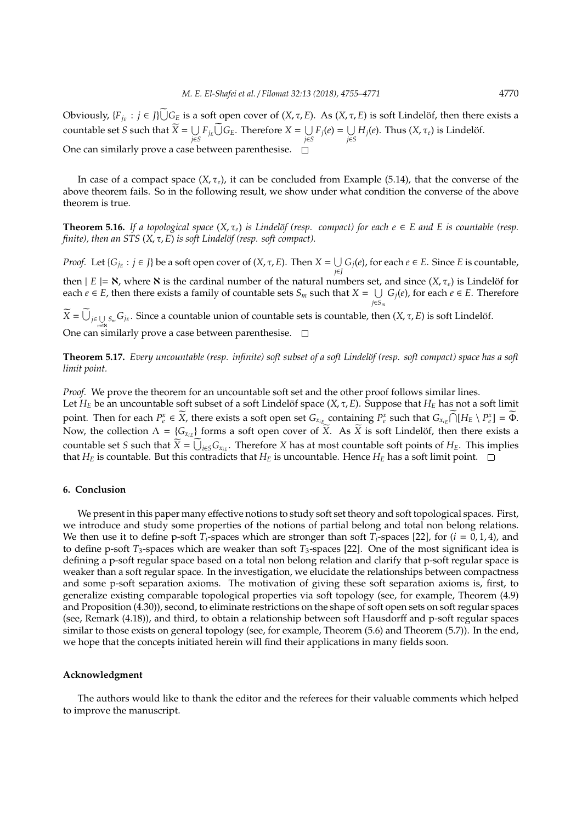Obviously,  $\{F_{j_E} : j \in J\} \cup G_E$  is a soft open cover of  $(X, \tau, E)$ . As  $(X, \tau, E)$  is soft Lindelöf, then there exists a countable set *S* such that  $X = \bigcup_{i \in S}$  $\bigcup_{j \in S} F_{j_E} \bigcup G_E$ . Therefore *X* = ∪  $\bigcup_{j \in S} F_j(e) = \bigcup_{j \in S}$  $\bigcup_{j\in S}H_j(e).$  Thus  $(X,\tau_e)$  is Lindelöf. One can similarly prove a case between parenthesise.

In case of a compact space  $(X, \tau_e)$ , it can be concluded from Example (5.14), that the converse of the above theorem fails. So in the following result, we show under what condition the converse of the above theorem is true.

**Theorem 5.16.** *If a topological space*  $(X, \tau_e)$  *is Lindelöf (resp. compact) for each*  $e \in E$  *and E is countable (resp. finite*), then an STS (*X*, τ, *E*) *is soft Lindelöf (resp. soft compact*).

*Proof.* Let { $G_{j_E}$  :  $j \in J$ } be a soft open cover of (*X*,  $\tau$ , *E*). Then  $X = \bigcup$ *j*∈*J Gj*(*e*), for each *e* ∈ *E*. Since *E* is countable,

then  $|E| = N$ , where  $N$  is the cardinal number of the natural numbers set, and since  $(X, \tau_e)$  is Lindelöf for *each*  $e$  ∈ *E*, then there exists a family of countable sets  $S_m$  such that  $X = \bigcup G_j(e)$ , for each  $e \in E$ . Therefore *j*∈*S<sup>m</sup>*

 $X = \bigcup_{j \in \bigcup S_m} S_{j_E}$ . Since a countable union of countable sets is countable, then  $(X, \tau, E)$  is soft Lindelöf. *m*∈ℵ One can similarly prove a case between parenthesise.

**Theorem 5.17.** *Every uncountable (resp. infinite) soft subset of a soft Lindelöf (resp. soft compact) space has a soft limit point.*

*Proof.* We prove the theorem for an uncountable soft set and the other proof follows similar lines. Let  $H_E$  be an uncountable soft subset of a soft Lindelöf space  $(X, \tau, E)$ . Suppose that  $H_E$  has not a soft limit point. Then for each  $P_e^x \in \widetilde{X}$ , there exists a soft open set  $G_{x_{iE}}$  containing  $P_e^x$  such that  $G_{x_{iE}} \cap [H_E \setminus P_e^x] = \widetilde{\Phi}$ . Now, the collection  $\Lambda = \{G_{x_{iE}}\}$  forms a soft open cover of  $\widetilde{X}$ . As  $\widetilde{X}$  is soft Lindelöf, then there exists a countable set *S* such that  $X = \bigcup_{i \in S} G_{x_{iE}}$ . Therefore *X* has at most countable soft points of *H<sub>E</sub>*. This implies that  $H_E$  is countable. But this contradicts that  $H_E$  is uncountable. Hence  $H_E$  has a soft limit point.  $\square$ 

## **6. Conclusion**

We present in this paper many effective notions to study soft set theory and soft topological spaces. First, we introduce and study some properties of the notions of partial belong and total non belong relations. We then use it to define p-soft  $T_i$ -spaces which are stronger than soft  $T_i$ -spaces [22], for ( $i = 0, 1, 4$ ), and to define p-soft *T*3-spaces which are weaker than soft *T*3-spaces [22]. One of the most significant idea is defining a p-soft regular space based on a total non belong relation and clarify that p-soft regular space is weaker than a soft regular space. In the investigation, we elucidate the relationships between compactness and some p-soft separation axioms. The motivation of giving these soft separation axioms is, first, to generalize existing comparable topological properties via soft topology (see, for example, Theorem (4.9) and Proposition (4.30)), second, to eliminate restrictions on the shape of soft open sets on soft regular spaces (see, Remark (4.18)), and third, to obtain a relationship between soft Hausdorff and p-soft regular spaces similar to those exists on general topology (see, for example, Theorem (5.6) and Theorem (5.7)). In the end, we hope that the concepts initiated herein will find their applications in many fields soon.

#### **Acknowledgment**

The authors would like to thank the editor and the referees for their valuable comments which helped to improve the manuscript.